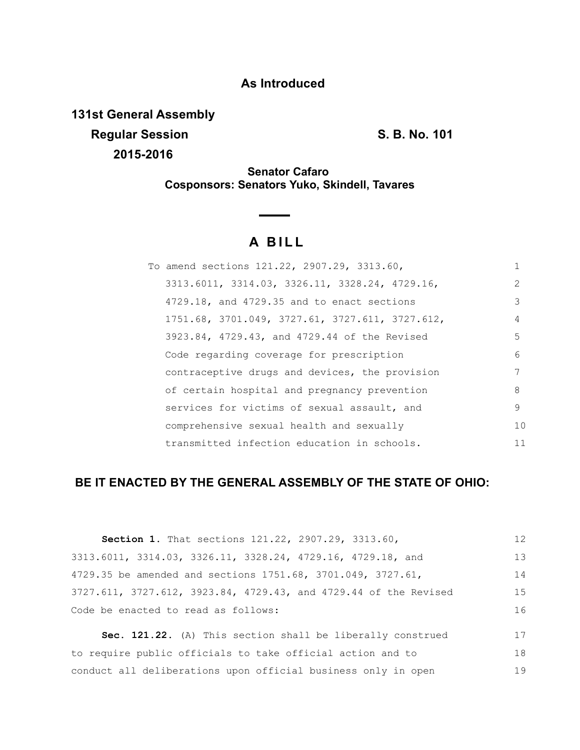# **As Introduced**

**131st General Assembly Regular Session S. B. No. 101 2015-2016**

**Senator Cafaro Cosponsors: Senators Yuko, Skindell, Tavares**

# **A BILL**

| To amend sections 121.22, 2907.29, 3313.60,                   |               |
|---------------------------------------------------------------|---------------|
| $3313.6011$ , $3314.03$ , $3326.11$ , $3328.24$ , $4729.16$ , | $\mathcal{L}$ |
| 4729.18, and 4729.35 and to enact sections                    | 3             |
| 1751.68, 3701.049, 3727.61, 3727.611, 3727.612,               | 4             |
| 3923.84, 4729.43, and 4729.44 of the Revised                  | 5             |
| Code regarding coverage for prescription                      | 6             |
| contraceptive drugs and devices, the provision                | 7             |
| of certain hospital and pregnancy prevention                  | 8             |
| services for victims of sexual assault, and                   | 9             |
| comprehensive sexual health and sexually                      | 10            |
| transmitted infection education in schools.                   | 11            |

# **BE IT ENACTED BY THE GENERAL ASSEMBLY OF THE STATE OF OHIO:**

| Section 1. That sections 121.22, 2907.29, 3313.60,               | 12 |
|------------------------------------------------------------------|----|
| 3313.6011, 3314.03, 3326.11, 3328.24, 4729.16, 4729.18, and      | 13 |
| 4729.35 be amended and sections 1751.68, 3701.049, 3727.61,      | 14 |
| 3727.611, 3727.612, 3923.84, 4729.43, and 4729.44 of the Revised | 15 |
| Code be enacted to read as follows:                              | 16 |
| Sec. 121.22. (A) This section shall be liberally construed       | 17 |

to require public officials to take official action and to conduct all deliberations upon official business only in open 18 19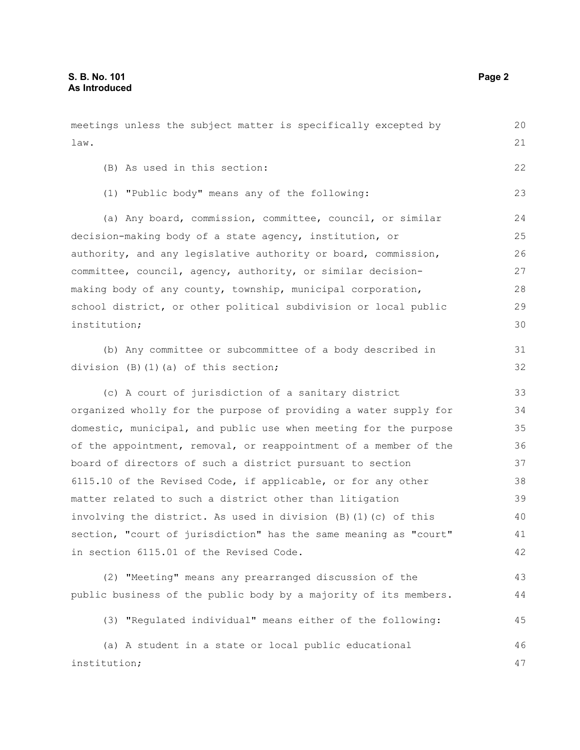meetings unless the subject matter is specifically excepted by law. (B) As used in this section: (1) "Public body" means any of the following: (a) Any board, commission, committee, council, or similar decision-making body of a state agency, institution, or authority, and any legislative authority or board, commission, committee, council, agency, authority, or similar decisionmaking body of any county, township, municipal corporation, school district, or other political subdivision or local public institution; (b) Any committee or subcommittee of a body described in division (B)(1)(a) of this section; (c) A court of jurisdiction of a sanitary district organized wholly for the purpose of providing a water supply for domestic, municipal, and public use when meeting for the purpose of the appointment, removal, or reappointment of a member of the board of directors of such a district pursuant to section 6115.10 of the Revised Code, if applicable, or for any other matter related to such a district other than litigation involving the district. As used in division (B)(1)(c) of this section, "court of jurisdiction" has the same meaning as "court" in section 6115.01 of the Revised Code. (2) "Meeting" means any prearranged discussion of the public business of the public body by a majority of its members. (3) "Regulated individual" means either of the following: (a) A student in a state or local public educational institution; 20 21 22 23 24 25 26 27 28 29 30 31 32 33 34 35 36 37 38 39 40 41 42 43 44 45 46 47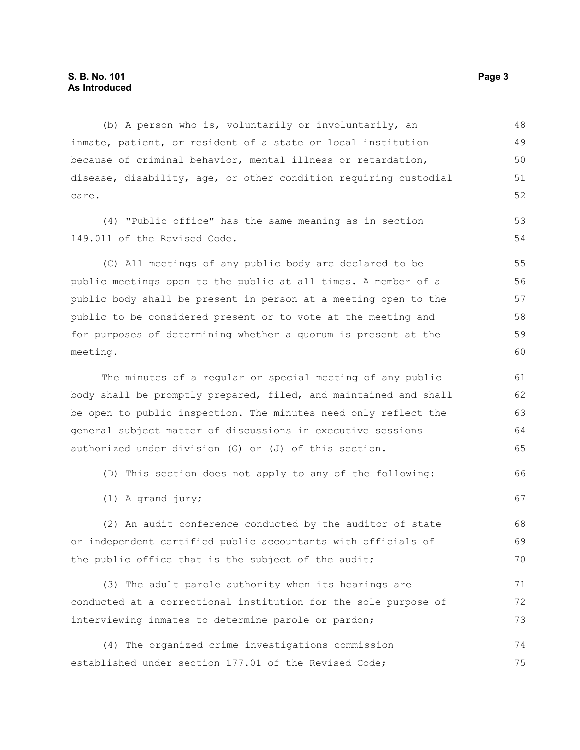(b) A person who is, voluntarily or involuntarily, an inmate, patient, or resident of a state or local institution because of criminal behavior, mental illness or retardation, disease, disability, age, or other condition requiring custodial care. 48 49 50 51 52

(4) "Public office" has the same meaning as in section 149.011 of the Revised Code.

(C) All meetings of any public body are declared to be public meetings open to the public at all times. A member of a public body shall be present in person at a meeting open to the public to be considered present or to vote at the meeting and for purposes of determining whether a quorum is present at the meeting.

The minutes of a regular or special meeting of any public body shall be promptly prepared, filed, and maintained and shall be open to public inspection. The minutes need only reflect the general subject matter of discussions in executive sessions authorized under division (G) or (J) of this section.

(D) This section does not apply to any of the following:

(1) A grand jury;

(2) An audit conference conducted by the auditor of state or independent certified public accountants with officials of the public office that is the subject of the audit; 68 69 70

(3) The adult parole authority when its hearings are conducted at a correctional institution for the sole purpose of interviewing inmates to determine parole or pardon; 71 72 73

(4) The organized crime investigations commission established under section 177.01 of the Revised Code; 74 75

53 54

66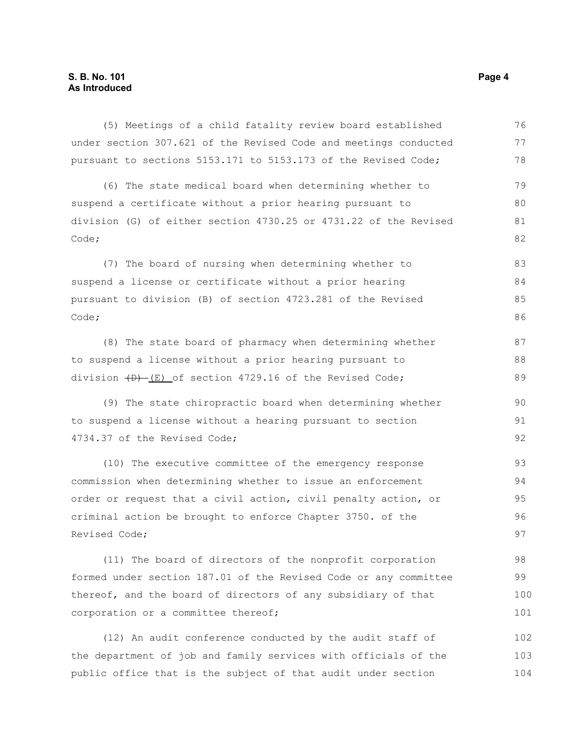(5) Meetings of a child fatality review board established under section 307.621 of the Revised Code and meetings conducted pursuant to sections 5153.171 to 5153.173 of the Revised Code; (6) The state medical board when determining whether to suspend a certificate without a prior hearing pursuant to division (G) of either section 4730.25 or 4731.22 of the Revised Code; (7) The board of nursing when determining whether to suspend a license or certificate without a prior hearing pursuant to division (B) of section 4723.281 of the Revised Code; (8) The state board of pharmacy when determining whether to suspend a license without a prior hearing pursuant to division  $(D)$  (E) of section 4729.16 of the Revised Code; (9) The state chiropractic board when determining whether to suspend a license without a hearing pursuant to section 4734.37 of the Revised Code; 76 77 78 79 80 81 82 83 84 85 86 87 88 89 90 91 92

(10) The executive committee of the emergency response commission when determining whether to issue an enforcement order or request that a civil action, civil penalty action, or criminal action be brought to enforce Chapter 3750. of the Revised Code; 93 94 95 96 97

(11) The board of directors of the nonprofit corporation formed under section 187.01 of the Revised Code or any committee thereof, and the board of directors of any subsidiary of that corporation or a committee thereof; 98 99 100 101

(12) An audit conference conducted by the audit staff of the department of job and family services with officials of the public office that is the subject of that audit under section 102 103 104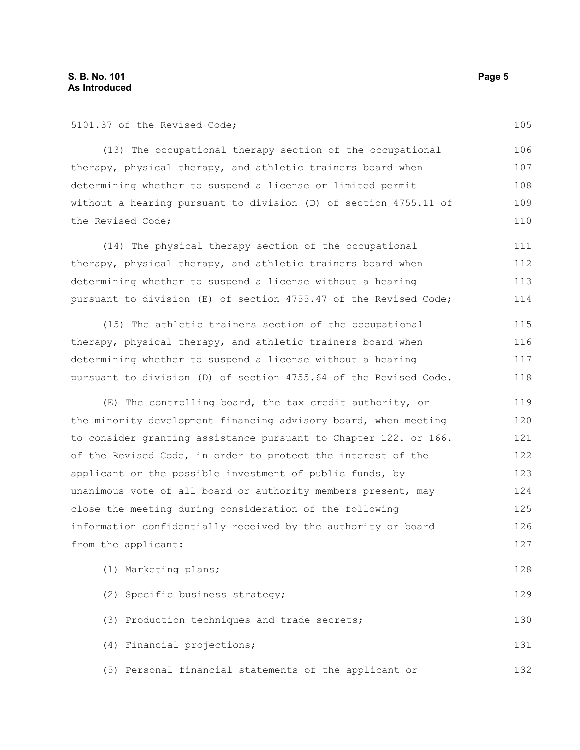5101.37 of the Revised Code;

(13) The occupational therapy section of the occupational therapy, physical therapy, and athletic trainers board when determining whether to suspend a license or limited permit without a hearing pursuant to division (D) of section 4755.11 of the Revised Code; 106 107 108 110

(14) The physical therapy section of the occupational therapy, physical therapy, and athletic trainers board when determining whether to suspend a license without a hearing pursuant to division (E) of section 4755.47 of the Revised Code; 111 112 113 114

(15) The athletic trainers section of the occupational therapy, physical therapy, and athletic trainers board when determining whether to suspend a license without a hearing pursuant to division (D) of section 4755.64 of the Revised Code. 115 116 117 118

(E) The controlling board, the tax credit authority, or the minority development financing advisory board, when meeting to consider granting assistance pursuant to Chapter 122. or 166. of the Revised Code, in order to protect the interest of the applicant or the possible investment of public funds, by unanimous vote of all board or authority members present, may close the meeting during consideration of the following information confidentially received by the authority or board from the applicant: 119 120 121 122 123 124 125 126 127

| (1) Marketing plans;                                  | 128 |
|-------------------------------------------------------|-----|
| (2) Specific business strategy;                       | 129 |
| (3) Production techniques and trade secrets;          | 130 |
| (4) Financial projections;                            | 131 |
| (5) Personal financial statements of the applicant or | 132 |

105

109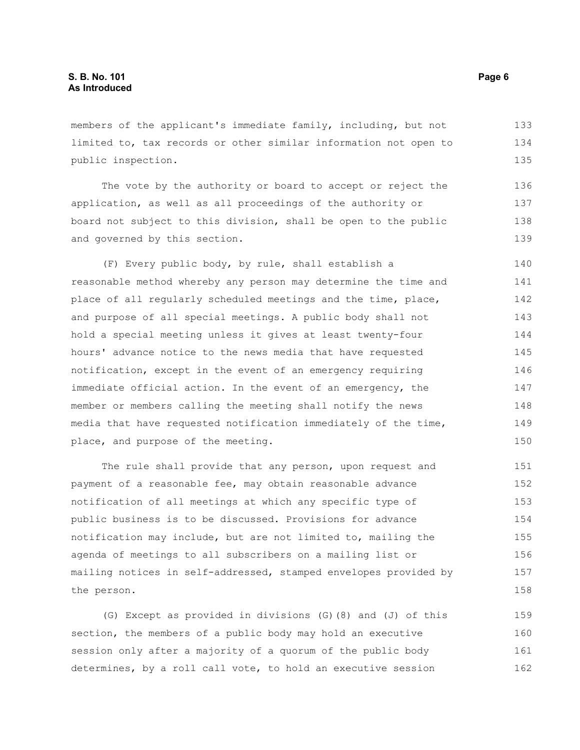members of the applicant's immediate family, including, but not limited to, tax records or other similar information not open to public inspection. 133 134 135

The vote by the authority or board to accept or reject the application, as well as all proceedings of the authority or board not subject to this division, shall be open to the public and governed by this section. 136 137 138 139

(F) Every public body, by rule, shall establish a reasonable method whereby any person may determine the time and place of all regularly scheduled meetings and the time, place, and purpose of all special meetings. A public body shall not hold a special meeting unless it gives at least twenty-four hours' advance notice to the news media that have requested notification, except in the event of an emergency requiring immediate official action. In the event of an emergency, the member or members calling the meeting shall notify the news media that have requested notification immediately of the time, place, and purpose of the meeting. 140 141 142 143 144 145 146 147 148 149 150

The rule shall provide that any person, upon request and payment of a reasonable fee, may obtain reasonable advance notification of all meetings at which any specific type of public business is to be discussed. Provisions for advance notification may include, but are not limited to, mailing the agenda of meetings to all subscribers on a mailing list or mailing notices in self-addressed, stamped envelopes provided by the person. 151 152 153 154 155 156 157 158

(G) Except as provided in divisions (G)(8) and (J) of this section, the members of a public body may hold an executive session only after a majority of a quorum of the public body determines, by a roll call vote, to hold an executive session 159 160 161 162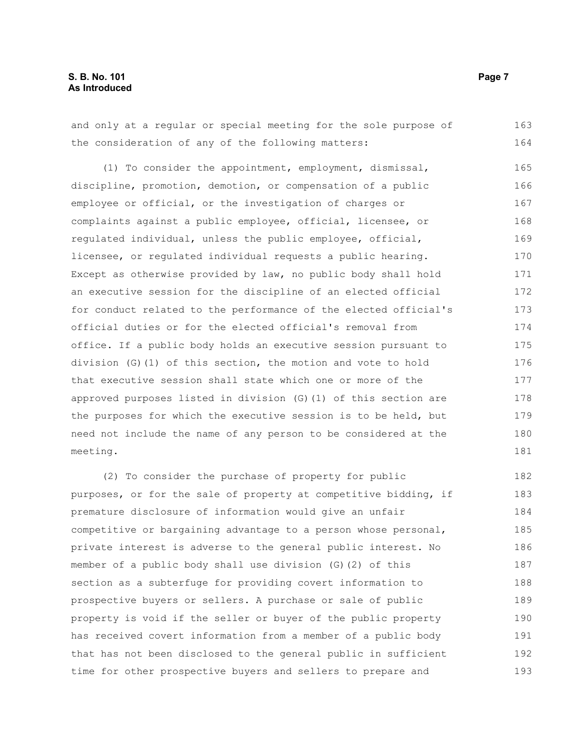and only at a regular or special meeting for the sole purpose of the consideration of any of the following matters: 163 164

(1) To consider the appointment, employment, dismissal, discipline, promotion, demotion, or compensation of a public employee or official, or the investigation of charges or complaints against a public employee, official, licensee, or regulated individual, unless the public employee, official, licensee, or regulated individual requests a public hearing. Except as otherwise provided by law, no public body shall hold an executive session for the discipline of an elected official for conduct related to the performance of the elected official's official duties or for the elected official's removal from office. If a public body holds an executive session pursuant to division (G)(1) of this section, the motion and vote to hold that executive session shall state which one or more of the approved purposes listed in division (G)(1) of this section are the purposes for which the executive session is to be held, but need not include the name of any person to be considered at the meeting. 165 166 167 168 169 170 171 172 173 174 175 176 177 178 179 180 181

(2) To consider the purchase of property for public purposes, or for the sale of property at competitive bidding, if premature disclosure of information would give an unfair competitive or bargaining advantage to a person whose personal, private interest is adverse to the general public interest. No member of a public body shall use division (G)(2) of this section as a subterfuge for providing covert information to prospective buyers or sellers. A purchase or sale of public property is void if the seller or buyer of the public property has received covert information from a member of a public body that has not been disclosed to the general public in sufficient time for other prospective buyers and sellers to prepare and 182 183 184 185 186 187 188 189 190 191 192 193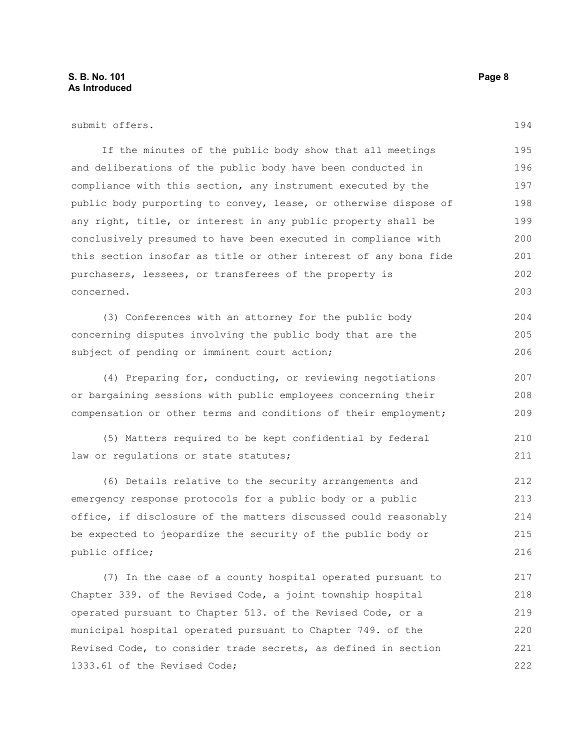| submit offers.                                                   | 194 |
|------------------------------------------------------------------|-----|
| If the minutes of the public body show that all meetings         | 195 |
| and deliberations of the public body have been conducted in      | 196 |
| compliance with this section, any instrument executed by the     | 197 |
| public body purporting to convey, lease, or otherwise dispose of | 198 |
| any right, title, or interest in any public property shall be    | 199 |
| conclusively presumed to have been executed in compliance with   | 200 |
| this section insofar as title or other interest of any bona fide | 201 |
| purchasers, lessees, or transferees of the property is           | 202 |
| concerned.                                                       | 203 |
| (3) Conferences with an attorney for the public body             | 204 |
| concerning disputes involving the public body that are the       | 205 |
| subject of pending or imminent court action;                     | 206 |
| (4) Preparing for, conducting, or reviewing negotiations         | 207 |
| or bargaining sessions with public employees concerning their    | 208 |
| compensation or other terms and conditions of their employment;  | 209 |
| (5) Matters required to be kept confidential by federal          | 210 |
| law or regulations or state statutes;                            | 211 |
| (6) Details relative to the security arrangements and            | 212 |
| emergency response protocols for a public body or a public       | 213 |
| office, if disclosure of the matters discussed could reasonably  | 214 |
| be expected to jeopardize the security of the public body or     | 215 |
| public office;                                                   | 216 |
| (7) In the case of a county hospital operated pursuant to        | 217 |
| Chapter 339. of the Revised Code, a joint township hospital      | 218 |
| operated pursuant to Chapter 513. of the Revised Code, or a      | 219 |
| municipal hospital operated pursuant to Chapter 749. of the      | 220 |
| Revised Code, to consider trade secrets, as defined in section   | 221 |
| 1333.61 of the Revised Code;                                     | 222 |
|                                                                  |     |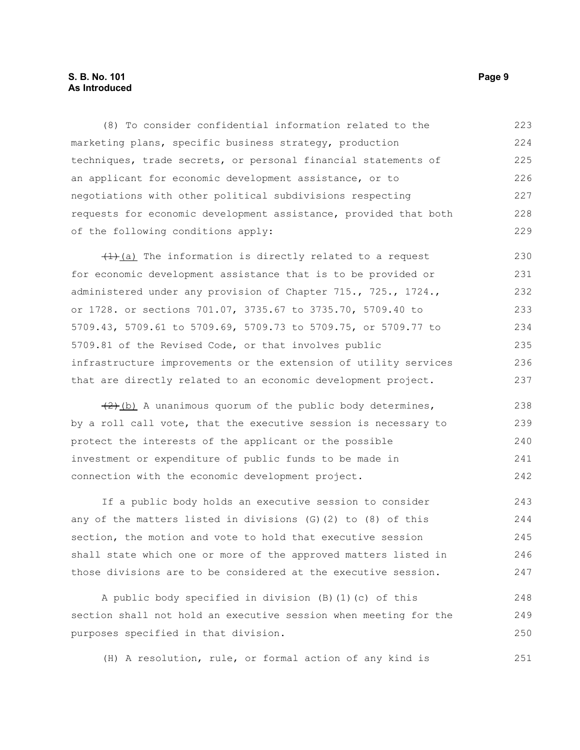### **S. B. No. 101 Page 9 As Introduced**

(8) To consider confidential information related to the marketing plans, specific business strategy, production techniques, trade secrets, or personal financial statements of an applicant for economic development assistance, or to negotiations with other political subdivisions respecting requests for economic development assistance, provided that both of the following conditions apply: 223 224 225 226 227 228 229

 $(1)$  (a) The information is directly related to a request for economic development assistance that is to be provided or administered under any provision of Chapter 715., 725., 1724., or 1728. or sections 701.07, 3735.67 to 3735.70, 5709.40 to 5709.43, 5709.61 to 5709.69, 5709.73 to 5709.75, or 5709.77 to 5709.81 of the Revised Code, or that involves public infrastructure improvements or the extension of utility services that are directly related to an economic development project. 230 231 232 233 234 235 236 237

 $(2)$  (b) A unanimous quorum of the public body determines, by a roll call vote, that the executive session is necessary to protect the interests of the applicant or the possible investment or expenditure of public funds to be made in connection with the economic development project. 238 239 240 241 242

If a public body holds an executive session to consider any of the matters listed in divisions (G)(2) to (8) of this section, the motion and vote to hold that executive session shall state which one or more of the approved matters listed in those divisions are to be considered at the executive session. 243 244 245 246 247

A public body specified in division (B)(1)(c) of this section shall not hold an executive session when meeting for the purposes specified in that division. 248 249 250

(H) A resolution, rule, or formal action of any kind is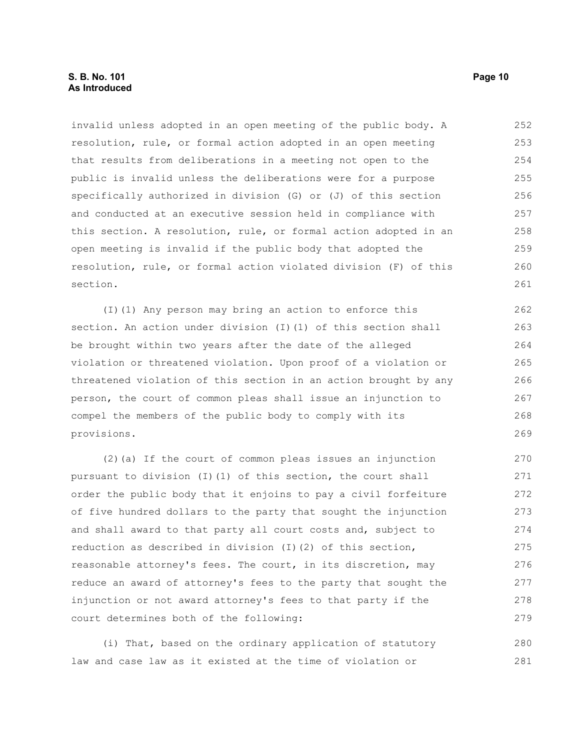### **S. B. No. 101 Page 10 As Introduced**

invalid unless adopted in an open meeting of the public body. A resolution, rule, or formal action adopted in an open meeting that results from deliberations in a meeting not open to the public is invalid unless the deliberations were for a purpose specifically authorized in division (G) or (J) of this section and conducted at an executive session held in compliance with this section. A resolution, rule, or formal action adopted in an open meeting is invalid if the public body that adopted the resolution, rule, or formal action violated division (F) of this section. 252 253 254 255 256 257 258 259 260 261

(I)(1) Any person may bring an action to enforce this section. An action under division (I)(1) of this section shall be brought within two years after the date of the alleged violation or threatened violation. Upon proof of a violation or threatened violation of this section in an action brought by any person, the court of common pleas shall issue an injunction to compel the members of the public body to comply with its provisions. 262 263 264 265 266 267 268 269

(2)(a) If the court of common pleas issues an injunction pursuant to division (I)(1) of this section, the court shall order the public body that it enjoins to pay a civil forfeiture of five hundred dollars to the party that sought the injunction and shall award to that party all court costs and, subject to reduction as described in division (I)(2) of this section, reasonable attorney's fees. The court, in its discretion, may reduce an award of attorney's fees to the party that sought the injunction or not award attorney's fees to that party if the court determines both of the following: 270 271 272 273 274 275 276 277 278 279

(i) That, based on the ordinary application of statutory law and case law as it existed at the time of violation or 280 281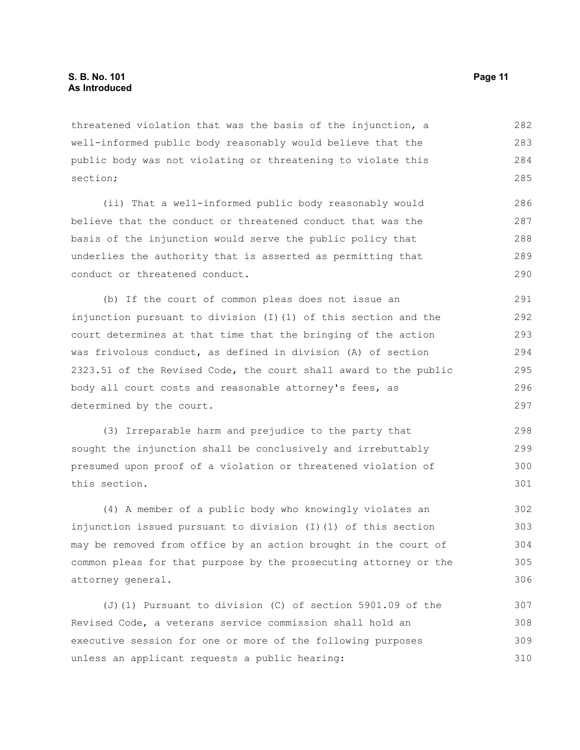threatened violation that was the basis of the injunction, a well-informed public body reasonably would believe that the public body was not violating or threatening to violate this section; 282 283 284 285

(ii) That a well-informed public body reasonably would believe that the conduct or threatened conduct that was the basis of the injunction would serve the public policy that underlies the authority that is asserted as permitting that conduct or threatened conduct. 286 287 288 289 290

(b) If the court of common pleas does not issue an injunction pursuant to division (I)(1) of this section and the court determines at that time that the bringing of the action was frivolous conduct, as defined in division (A) of section 2323.51 of the Revised Code, the court shall award to the public body all court costs and reasonable attorney's fees, as determined by the court. 291 292 293 294 295 296 297

(3) Irreparable harm and prejudice to the party that sought the injunction shall be conclusively and irrebuttably presumed upon proof of a violation or threatened violation of this section. 298 299 300 301

(4) A member of a public body who knowingly violates an injunction issued pursuant to division (I)(1) of this section may be removed from office by an action brought in the court of common pleas for that purpose by the prosecuting attorney or the attorney general. 302 303 304 305 306

(J)(1) Pursuant to division (C) of section 5901.09 of the Revised Code, a veterans service commission shall hold an executive session for one or more of the following purposes unless an applicant requests a public hearing: 307 308 309 310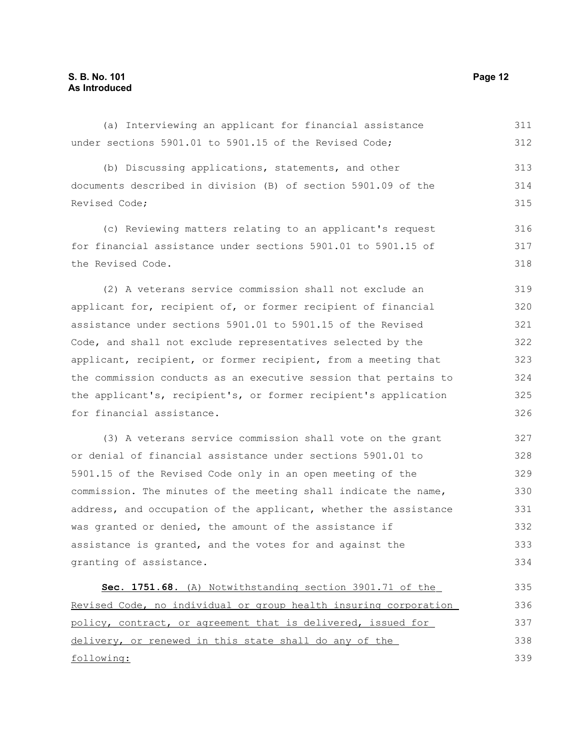under sections 5901.01 to 5901.15 of the Revised Code; (b) Discussing applications, statements, and other documents described in division (B) of section 5901.09 of the Revised Code; (c) Reviewing matters relating to an applicant's request for financial assistance under sections 5901.01 to 5901.15 of the Revised Code. (2) A veterans service commission shall not exclude an applicant for, recipient of, or former recipient of financial assistance under sections 5901.01 to 5901.15 of the Revised Code, and shall not exclude representatives selected by the applicant, recipient, or former recipient, from a meeting that the commission conducts as an executive session that pertains to the applicant's, recipient's, or former recipient's application for financial assistance. (3) A veterans service commission shall vote on the grant or denial of financial assistance under sections 5901.01 to 5901.15 of the Revised Code only in an open meeting of the commission. The minutes of the meeting shall indicate the name, address, and occupation of the applicant, whether the assistance was granted or denied, the amount of the assistance if assistance is granted, and the votes for and against the granting of assistance. **Sec. 1751.68.** (A) Notwithstanding section 3901.71 of the Revised Code, no individual or group health insuring corporation policy, contract, or agreement that is delivered, issued for delivery, or renewed in this state shall do any of the 312 313 314 315 316 317 318 319 320 321 322 323 324 325 326 327 328 329 330 331 332 333 334 335 336 337 338

(a) Interviewing an applicant for financial assistance

following:

311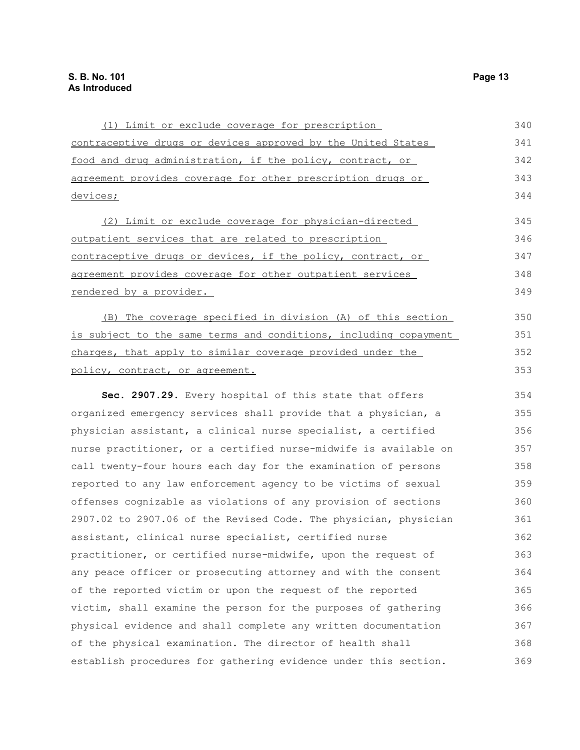| (1) Limit or exclude coverage for prescription                   | 340 |
|------------------------------------------------------------------|-----|
| contraceptive drugs or devices approved by the United States     | 341 |
| food and drug administration, if the policy, contract, or        | 342 |
| agreement provides coverage for other prescription drugs or      | 343 |
| devices;                                                         | 344 |
| (2) Limit or exclude coverage for physician-directed             | 345 |
| outpatient services that are related to prescription             | 346 |
| contraceptive drugs or devices, if the policy, contract, or      | 347 |
| agreement provides coverage for other outpatient services        | 348 |
| rendered by a provider.                                          | 349 |
| (B) The coverage specified in division (A) of this section       | 350 |
| is subject to the same terms and conditions, including copayment | 351 |
| charges, that apply to similar coverage provided under the       | 352 |
| policy, contract, or agreement.                                  | 353 |
| Sec. 2907.29. Every hospital of this state that offers           | 354 |
| organized emergency services shall provide that a physician, a   | 355 |
| physician assistant, a clinical nurse specialist, a certified    | 356 |
| nurse practitioner, or a certified nurse-midwife is available on | 357 |
| call twenty-four hours each day for the examination of persons   | 358 |
| reported to any law enforcement agency to be victims of sexual   | 359 |
| offenses cognizable as violations of any provision of sections   | 360 |
| 2907.02 to 2907.06 of the Revised Code. The physician, physician | 361 |
| assistant, clinical nurse specialist, certified nurse            | 362 |
| practitioner, or certified nurse-midwife, upon the request of    | 363 |
| any peace officer or prosecuting attorney and with the consent   | 364 |
| of the reported victim or upon the request of the reported       | 365 |
| victim, shall examine the person for the purposes of gathering   | 366 |
| physical evidence and shall complete any written documentation   | 367 |
| of the physical examination. The director of health shall        | 368 |
| establish procedures for gathering evidence under this section.  | 369 |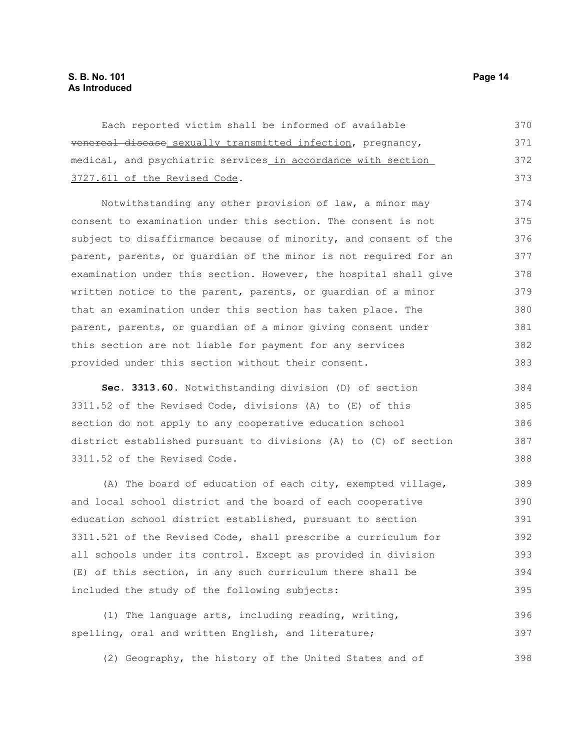| Each reported victim shall be informed of available          | 370 |
|--------------------------------------------------------------|-----|
| venereal disease sexually transmitted infection, pregnancy,  | 371 |
| medical, and psychiatric services in accordance with section | 372 |
| 3727.611 of the Revised Code.                                | 373 |

Notwithstanding any other provision of law, a minor may consent to examination under this section. The consent is not subject to disaffirmance because of minority, and consent of the parent, parents, or guardian of the minor is not required for an examination under this section. However, the hospital shall give written notice to the parent, parents, or guardian of a minor that an examination under this section has taken place. The parent, parents, or guardian of a minor giving consent under this section are not liable for payment for any services provided under this section without their consent. 374 375 376 377 378 379 380 381 382 383

**Sec. 3313.60.** Notwithstanding division (D) of section 3311.52 of the Revised Code, divisions (A) to (E) of this section do not apply to any cooperative education school district established pursuant to divisions (A) to (C) of section 3311.52 of the Revised Code. 384 385 386 387 388

(A) The board of education of each city, exempted village, and local school district and the board of each cooperative education school district established, pursuant to section 3311.521 of the Revised Code, shall prescribe a curriculum for all schools under its control. Except as provided in division (E) of this section, in any such curriculum there shall be included the study of the following subjects: 389 390 391 392 393 394 395

(1) The language arts, including reading, writing, spelling, oral and written English, and literature; 396 397

(2) Geography, the history of the United States and of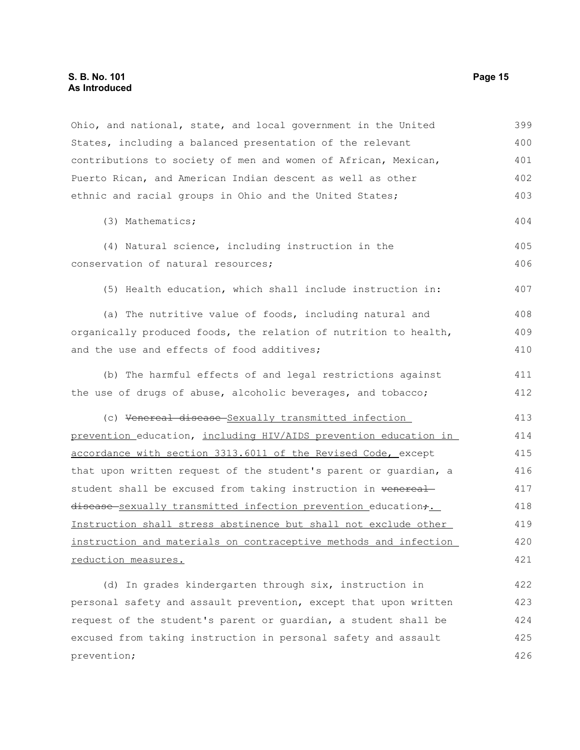prevention;

Ohio, and national, state, and local government in the United States, including a balanced presentation of the relevant contributions to society of men and women of African, Mexican, Puerto Rican, and American Indian descent as well as other ethnic and racial groups in Ohio and the United States; (3) Mathematics; (4) Natural science, including instruction in the conservation of natural resources; (5) Health education, which shall include instruction in: (a) The nutritive value of foods, including natural and organically produced foods, the relation of nutrition to health, and the use and effects of food additives; (b) The harmful effects of and legal restrictions against the use of drugs of abuse, alcoholic beverages, and tobacco; (c) Venereal disease Sexually transmitted infection prevention education, including HIV/AIDS prevention education in accordance with section 3313.6011 of the Revised Code, except that upon written request of the student's parent or guardian, a student shall be excused from taking instruction in venereal disease sexually transmitted infection prevention education+. Instruction shall stress abstinence but shall not exclude other instruction and materials on contraceptive methods and infection reduction measures. (d) In grades kindergarten through six, instruction in personal safety and assault prevention, except that upon written request of the student's parent or guardian, a student shall be excused from taking instruction in personal safety and assault 399 400 401 402 403 404 405 406 407 408 409 410 411 412 413 414 415 416 417 418 419 420 421 422 423 424 425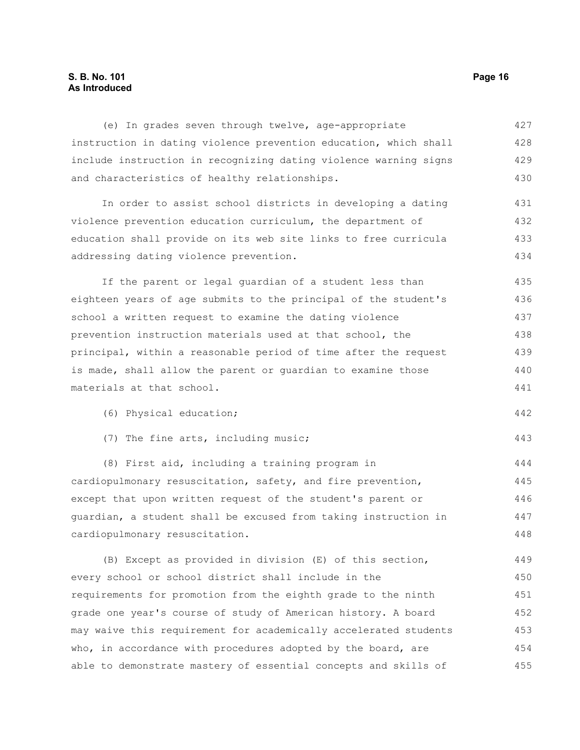### **S. B. No. 101 Page 16 As Introduced**

(e) In grades seven through twelve, age-appropriate instruction in dating violence prevention education, which shall include instruction in recognizing dating violence warning signs and characteristics of healthy relationships. In order to assist school districts in developing a dating violence prevention education curriculum, the department of education shall provide on its web site links to free curricula addressing dating violence prevention. If the parent or legal guardian of a student less than eighteen years of age submits to the principal of the student's school a written request to examine the dating violence prevention instruction materials used at that school, the principal, within a reasonable period of time after the request is made, shall allow the parent or guardian to examine those materials at that school. (6) Physical education; (7) The fine arts, including music; 427 428 429 430 431 432 433 434 435 436 437 438 439 440 441 442 443

(8) First aid, including a training program in cardiopulmonary resuscitation, safety, and fire prevention, except that upon written request of the student's parent or guardian, a student shall be excused from taking instruction in cardiopulmonary resuscitation. 444 445 446 447 448

(B) Except as provided in division (E) of this section, every school or school district shall include in the requirements for promotion from the eighth grade to the ninth grade one year's course of study of American history. A board may waive this requirement for academically accelerated students who, in accordance with procedures adopted by the board, are able to demonstrate mastery of essential concepts and skills of 449 450 451 452 453 454 455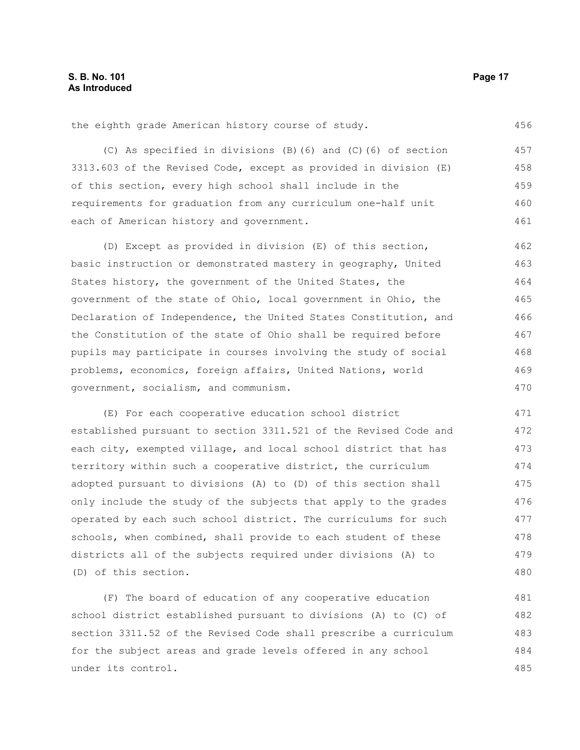the eighth grade American history course of study.

(C) As specified in divisions (B)(6) and (C)(6) of section 3313.603 of the Revised Code, except as provided in division (E) of this section, every high school shall include in the requirements for graduation from any curriculum one-half unit each of American history and government. 457 458 459 460 461

(D) Except as provided in division (E) of this section, basic instruction or demonstrated mastery in geography, United States history, the government of the United States, the government of the state of Ohio, local government in Ohio, the Declaration of Independence, the United States Constitution, and the Constitution of the state of Ohio shall be required before pupils may participate in courses involving the study of social problems, economics, foreign affairs, United Nations, world government, socialism, and communism. 462 463 464 465 466 467 468 469 470

(E) For each cooperative education school district established pursuant to section 3311.521 of the Revised Code and each city, exempted village, and local school district that has territory within such a cooperative district, the curriculum adopted pursuant to divisions (A) to (D) of this section shall only include the study of the subjects that apply to the grades operated by each such school district. The curriculums for such schools, when combined, shall provide to each student of these districts all of the subjects required under divisions (A) to (D) of this section. 471 472 473 474 475 476 477 478 479 480

(F) The board of education of any cooperative education school district established pursuant to divisions (A) to (C) of section 3311.52 of the Revised Code shall prescribe a curriculum for the subject areas and grade levels offered in any school under its control. 481 482 483 484 485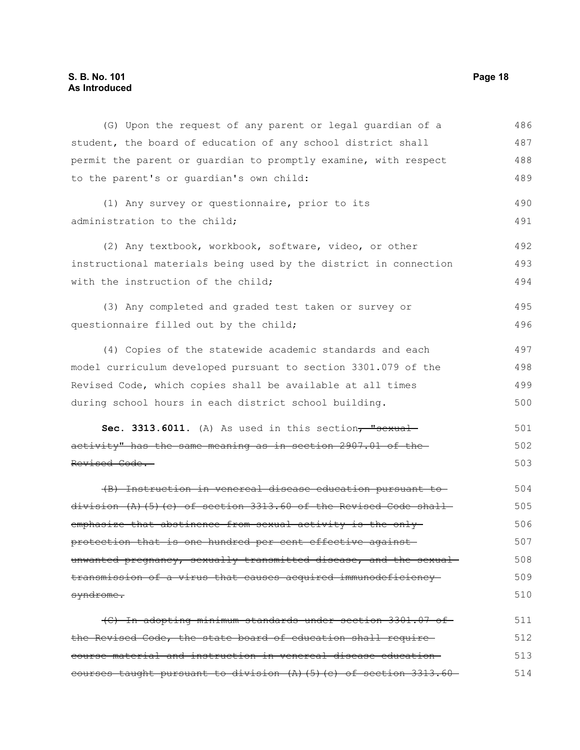## **S. B. No. 101 Page 18 As Introduced**

| (G) Upon the request of any parent or legal quardian of a            | 486 |
|----------------------------------------------------------------------|-----|
| student, the board of education of any school district shall         | 487 |
| permit the parent or guardian to promptly examine, with respect      | 488 |
| to the parent's or quardian's own child:                             | 489 |
| (1) Any survey or questionnaire, prior to its                        | 490 |
| administration to the child;                                         | 491 |
| (2) Any textbook, workbook, software, video, or other                | 492 |
| instructional materials being used by the district in connection     | 493 |
| with the instruction of the child;                                   | 494 |
| (3) Any completed and graded test taken or survey or                 | 495 |
| questionnaire filled out by the child;                               | 496 |
| (4) Copies of the statewide academic standards and each              | 497 |
| model curriculum developed pursuant to section 3301.079 of the       | 498 |
| Revised Code, which copies shall be available at all times           | 499 |
| during school hours in each district school building.                | 500 |
| Sec. 3313.6011. (A) As used in this section, "sexual-                | 501 |
| activity" has the same meaning as in section 2907.01 of the          | 502 |
| Revised Code.                                                        | 503 |
| (B) Instruction in venereal disease education pursuant to            | 504 |
| $division (A) (5) (c) of section 3313.60 of the Revised Code shall-$ | 505 |
| emphasize that abstinence from sexual activity is the only-          | 506 |
| protection that is one hundred per cent effective against-           | 507 |
| unwanted pregnancy, sexually transmitted disease, and the sexual     | 508 |
| transmission of a virus that causes acquired immunodeficiency        | 509 |
| syndrome.                                                            | 510 |
| (C) In adopting minimum standards under section 3301.07 of           | 511 |
| the Revised Code, the state board of education shall require         | 512 |
| course material and instruction in venereal disease education-       | 513 |
| eourses taught pursuant to division (A) (5) (c) of section 3313.60   | 514 |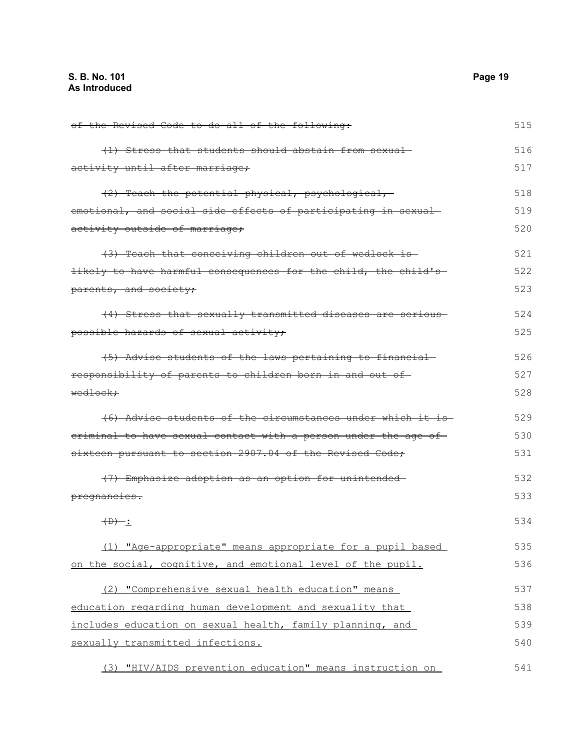| of the Revised Code to do all of the following:                | 515 |
|----------------------------------------------------------------|-----|
| (1) Stress that students should abstain from sexual-           | 516 |
| activity until after marriage;                                 | 517 |
| (2) Teach the potential physical, psychological,               | 518 |
| emotional, and social side effects of participating in sexual  | 519 |
| activity outside of marriage;                                  | 520 |
| (3) Teach that conceiving children out of wedlock is           | 521 |
| likely to have harmful consequences for the child, the child's | 522 |
| parents, and society;                                          | 523 |
| (4) Stress that sexually transmitted diseases are serious-     | 524 |
| possible hazards of sexual activity;                           | 525 |
| (5) Advise students of the laws pertaining to financial        | 526 |
| responsibility of parents to children born in and out of-      | 527 |
| <del>wedlock:</del>                                            | 528 |
| (6) Advise students of the circumstances under which it is     | 529 |
| eriminal to have sexual contact with a person under the age of | 530 |
| sixteen pursuant to section 2907.04 of the Revised Code;       | 531 |
| (7) Emphasize adoption as an option for unintended-            | 532 |
| pregnancies.                                                   | 533 |
| $\overline{CD}$ :                                              | 534 |
| (1) "Age-appropriate" means appropriate for a pupil based      | 535 |
| on the social, cognitive, and emotional level of the pupil.    | 536 |
| (2) "Comprehensive sexual health education" means              | 537 |
| education regarding human development and sexuality that       | 538 |
| includes education on sexual health, family planning, and      | 539 |
| sexually transmitted infections.                               | 540 |
| (3) "HIV/AIDS prevention education" means instruction on       | 541 |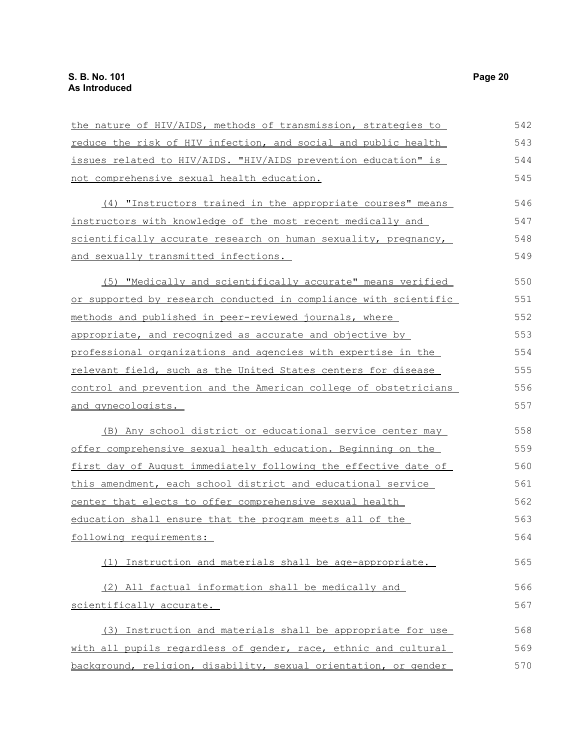| the nature of HIV/AIDS, methods of transmission, strategies to   | 542 |
|------------------------------------------------------------------|-----|
| reduce the risk of HIV infection, and social and public health   | 543 |
| issues related to HIV/AIDS. "HIV/AIDS prevention education" is   | 544 |
| not comprehensive sexual health education.                       | 545 |
| (4) "Instructors trained in the appropriate courses" means       | 546 |
| instructors with knowledge of the most recent medically and      | 547 |
| scientifically accurate research on human sexuality, pregnancy,  | 548 |
| and sexually transmitted infections.                             | 549 |
| (5) "Medically and scientifically accurate" means verified       | 550 |
| or supported by research conducted in compliance with scientific | 551 |
| methods and published in peer-reviewed journals, where           | 552 |
| appropriate, and recognized as accurate and objective by         | 553 |
| professional organizations and agencies with expertise in the    | 554 |
| relevant field, such as the United States centers for disease    | 555 |
| control and prevention and the American college of obstetricians | 556 |
| <u>and gynecologists.</u>                                        | 557 |
| (B) Any school district or educational service center may        | 558 |
| offer comprehensive sexual health education. Beginning on the    | 559 |
| first day of August immediately following the effective date of  | 560 |
| this amendment, each school district and educational service     | 561 |
| center that elects to offer comprehensive sexual health          | 562 |
| education shall ensure that the program meets all of the         | 563 |
| following requirements:                                          | 564 |
| (1) Instruction and materials shall be age-appropriate.          | 565 |
| (2) All factual information shall be medically and               | 566 |
| scientifically accurate.                                         | 567 |
| (3) Instruction and materials shall be appropriate for use       | 568 |
| with all pupils regardless of gender, race, ethnic and cultural  | 569 |
| background, religion, disability, sexual orientation, or gender  | 570 |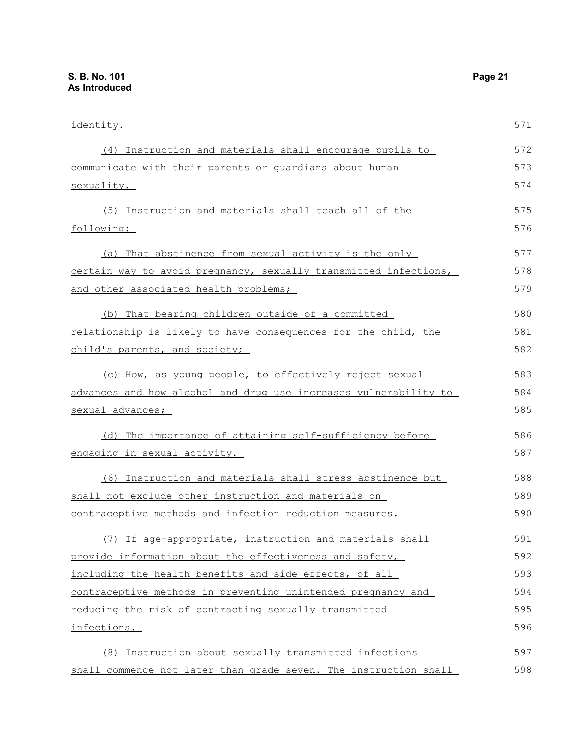| identity.                                                        | 571 |
|------------------------------------------------------------------|-----|
| (4) Instruction and materials shall encourage pupils to          | 572 |
| communicate with their parents or quardians about human          | 573 |
| sexuality.                                                       | 574 |
| (5) Instruction and materials shall teach all of the             | 575 |
| following:                                                       | 576 |
| (a) That abstinence from sexual activity is the only             | 577 |
| certain way to avoid pregnancy, sexually transmitted infections, | 578 |
| and other associated health problems;                            | 579 |
| (b) That bearing children outside of a committed                 | 580 |
| relationship is likely to have consequences for the child, the   | 581 |
| child's parents, and society;                                    | 582 |
| (c) How, as young people, to effectively reject sexual           | 583 |
| advances and how alcohol and drug use increases vulnerability to | 584 |
| sexual advances;                                                 | 585 |
| (d) The importance of attaining self-sufficiency before          | 586 |
| engaging in sexual activity.                                     | 587 |
| (6) Instruction and materials shall stress abstinence but        | 588 |
| shall not exclude other instruction and materials on             | 589 |
| contraceptive methods and infection reduction measures.          | 590 |
| (7) If age-appropriate, instruction and materials shall          | 591 |
| provide information about the effectiveness and safety,          | 592 |
| including the health benefits and side effects, of all           | 593 |
| contraceptive methods in preventing unintended pregnancy and     | 594 |
| reducing the risk of contracting sexually transmitted            | 595 |
| infections.                                                      | 596 |
| (8) Instruction about sexually transmitted infections            | 597 |
| shall commence not later than grade seven. The instruction shall | 598 |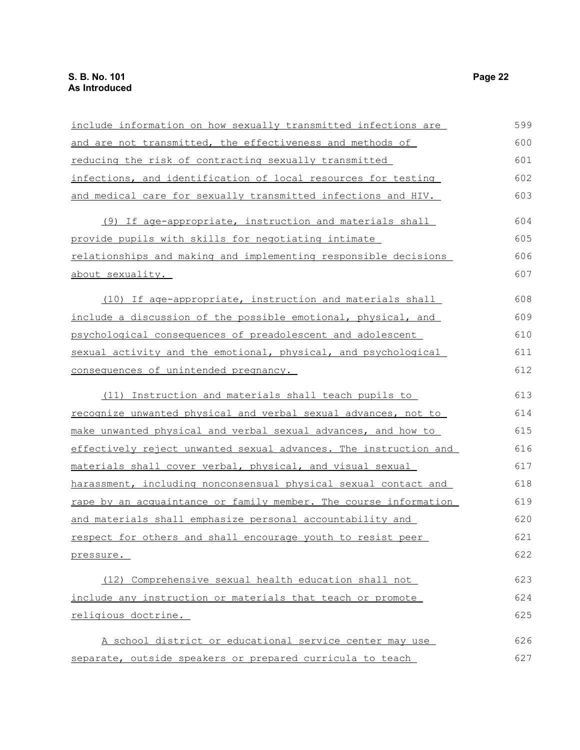| include information on how sexually transmitted infections are   | 599 |
|------------------------------------------------------------------|-----|
| and are not transmitted, the effectiveness and methods of        | 600 |
| reducing the risk of contracting sexually transmitted            | 601 |
| infections, and identification of local resources for testing    | 602 |
| and medical care for sexually transmitted infections and HIV.    | 603 |
| (9) If age-appropriate, instruction and materials shall          | 604 |
| provide pupils with skills for negotiating intimate              | 605 |
| relationships and making and implementing responsible decisions  | 606 |
| about sexuality.                                                 | 607 |
| (10) If age-appropriate, instruction and materials shall         | 608 |
| include a discussion of the possible emotional, physical, and    | 609 |
| psychological consequences of preadolescent and adolescent       | 610 |
| sexual activity and the emotional, physical, and psychological   | 611 |
| consequences of unintended pregnancy.                            | 612 |
| (11) Instruction and materials shall teach pupils to             | 613 |
| recognize unwanted physical and verbal sexual advances, not to   | 614 |
| make unwanted physical and verbal sexual advances, and how to    | 615 |
| effectively reject unwanted sexual advances. The instruction and | 616 |
| materials shall cover verbal, physical, and visual sexual        | 617 |
| harassment, including nonconsensual physical sexual contact and  | 618 |
| rape by an acquaintance or family member. The course information | 619 |
| and materials shall emphasize personal accountability and        | 620 |
| respect for others and shall encourage youth to resist peer      | 621 |
| pressure.                                                        | 622 |
| (12) Comprehensive sexual health education shall not             | 623 |
| include any instruction or materials that teach or promote       | 624 |
| religious doctrine.                                              | 625 |
| A school district or educational service center may use          | 626 |
| separate, outside speakers or prepared curricula to teach        | 627 |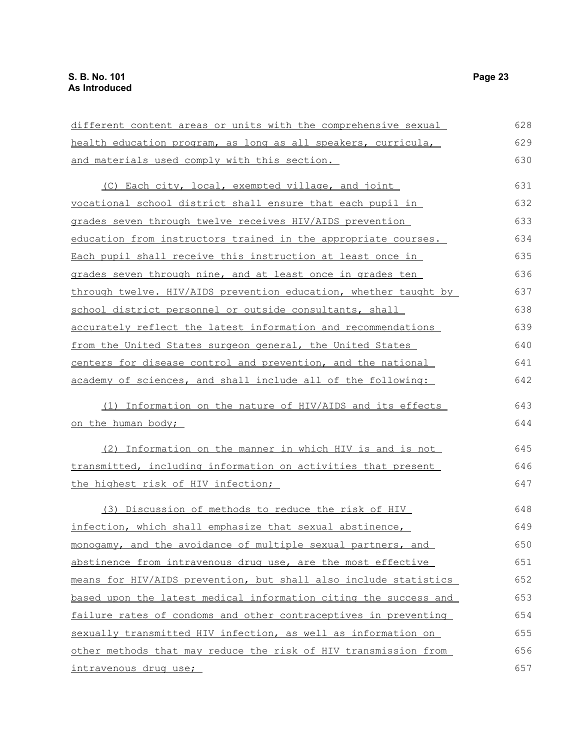| different content areas or units with the comprehensive sexual   | 628 |
|------------------------------------------------------------------|-----|
| health education program, as long as all speakers, curricula,    | 629 |
| and materials used comply with this section.                     | 630 |
| (C) Each city, local, exempted village, and joint                | 631 |
| vocational school district shall ensure that each pupil in       | 632 |
| grades seven through twelve receives HIV/AIDS prevention         | 633 |
| education from instructors trained in the appropriate courses.   | 634 |
| Each pupil shall receive this instruction at least once in       | 635 |
| grades seven through nine, and at least once in grades ten       | 636 |
| through twelve. HIV/AIDS prevention education, whether taught by | 637 |
| school district personnel or outside consultants, shall          | 638 |
| accurately reflect the latest information and recommendations    | 639 |
| from the United States surgeon general, the United States        | 640 |
| centers for disease control and prevention, and the national     | 641 |
| academy of sciences, and shall include all of the following:     | 642 |
| (1) Information on the nature of HIV/AIDS and its effects        | 643 |
| <u>on the human body;</u>                                        | 644 |
| (2) Information on the manner in which HIV is and is not         | 645 |
| transmitted, including information on activities that present    | 646 |
| the highest risk of HIV infection;                               | 647 |
| (3) Discussion of methods to reduce the risk of HIV              | 648 |
| infection, which shall emphasize that sexual abstinence,         | 649 |
| monogamy, and the avoidance of multiple sexual partners, and     | 650 |
| abstinence from intravenous drug use, are the most effective     | 651 |
| means for HIV/AIDS prevention, but shall also include statistics | 652 |
| based upon the latest medical information citing the success and | 653 |
| failure rates of condoms and other contraceptives in preventing  | 654 |
| sexually transmitted HIV infection, as well as information on    | 655 |
| other methods that may reduce the risk of HIV transmission from  | 656 |
| intravenous drug use;                                            | 657 |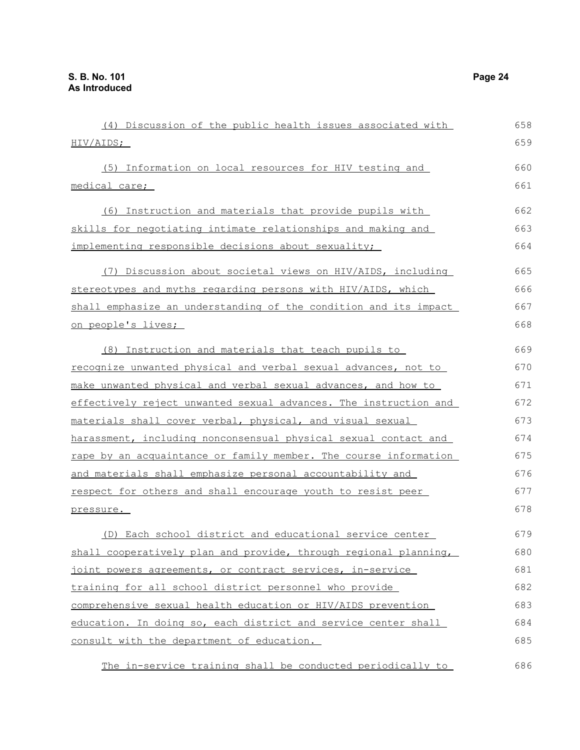| (4) Discussion of the public health issues associated with       | 658 |
|------------------------------------------------------------------|-----|
| <u>HIV/AIDS;</u>                                                 | 659 |
| (5) Information on local resources for HIV testing and           | 660 |
| medical care;                                                    | 661 |
| (6) Instruction and materials that provide pupils with           | 662 |
| skills for negotiating intimate relationships and making and     | 663 |
| implementing responsible decisions about sexuality;              | 664 |
| (7) Discussion about societal views on HIV/AIDS, including       | 665 |
| stereotypes and myths regarding persons with HIV/AIDS, which     | 666 |
| shall emphasize an understanding of the condition and its impact | 667 |
| <u>on people's lives;</u>                                        | 668 |
| (8) Instruction and materials that teach pupils to               | 669 |
| recognize unwanted physical and verbal sexual advances, not to   | 670 |
| make unwanted physical and verbal sexual advances, and how to    | 671 |
| effectively reject unwanted sexual advances. The instruction and | 672 |
| materials shall cover verbal, physical, and visual sexual        | 673 |
| harassment, including nonconsensual physical sexual contact and  | 674 |
| rape by an acquaintance or family member. The course information | 675 |
| and materials shall emphasize personal accountability and        | 676 |
| respect for others and shall encourage youth to resist peer      | 677 |
| pressure.                                                        | 678 |
| (D) Each school district and educational service center          | 679 |
| shall cooperatively plan and provide, through regional planning, | 680 |
| joint powers agreements, or contract services, in-service        | 681 |
| training for all school district personnel who provide           | 682 |
| comprehensive sexual health education or HIV/AIDS prevention     | 683 |
| education. In doing so, each district and service center shall   | 684 |
| consult with the department of education.                        | 685 |
| The in-service training shall be conducted periodically to       | 686 |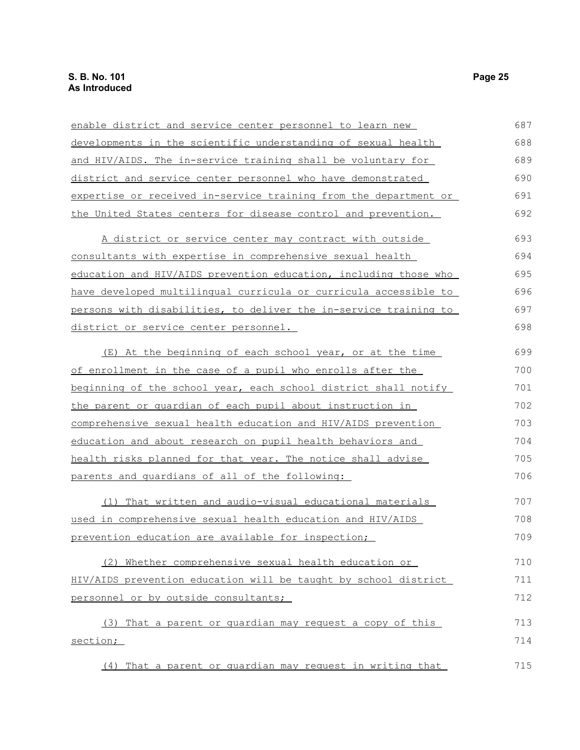| enable district and service center personnel to learn new        | 687 |
|------------------------------------------------------------------|-----|
| developments in the scientific understanding of sexual health    | 688 |
| and HIV/AIDS. The in-service training shall be voluntary for     | 689 |
| district and service center personnel who have demonstrated      | 690 |
| expertise or received in-service training from the department or | 691 |
| the United States centers for disease control and prevention.    | 692 |
| A district or service center may contract with outside           | 693 |
| <u>consultants with expertise in comprehensive sexual health</u> | 694 |
| education and HIV/AIDS prevention education, including those who | 695 |
| have developed multilingual curricula or curricula accessible to | 696 |
| persons with disabilities, to deliver the in-service training to | 697 |
| district or service center personnel.                            | 698 |
| (E) At the beginning of each school year, or at the time         | 699 |
| of enrollment in the case of a pupil who enrolls after the       | 700 |
| beginning of the school year, each school district shall notify  | 701 |
| <u>the parent or quardian of each pupil about instruction in</u> | 702 |
| comprehensive sexual health education and HIV/AIDS prevention    | 703 |
| education and about research on pupil health behaviors and       | 704 |
| health risks planned for that year. The notice shall advise      | 705 |
| parents and quardians of all of the following:                   | 706 |
| (1) That written and audio-visual educational materials          | 707 |
| used in comprehensive sexual health education and HIV/AIDS       | 708 |
| prevention education are available for inspection;               | 709 |
| (2) Whether comprehensive sexual health education or             | 710 |
| HIV/AIDS prevention education will be taught by school district  | 711 |
| personnel or by outside consultants;                             | 712 |
| That a parent or quardian may request a copy of this<br>(3)      | 713 |
| section;                                                         | 714 |
| (4) That a parent or quardian may request in writing that        | 715 |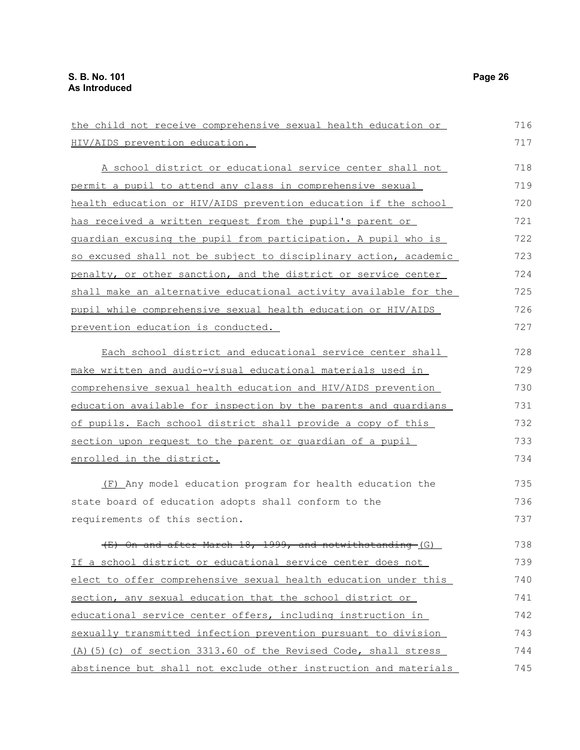| the child not receive comprehensive sexual health education or   | 716 |
|------------------------------------------------------------------|-----|
| HIV/AIDS prevention education.                                   | 717 |
| A school district or educational service center shall not        | 718 |
| permit a pupil to attend any class in comprehensive sexual       | 719 |
| health education or HIV/AIDS prevention education if the school  | 720 |
| has received a written request from the pupil's parent or        | 721 |
| guardian excusing the pupil from participation. A pupil who is   | 722 |
| so excused shall not be subject to disciplinary action, academic | 723 |
| penalty, or other sanction, and the district or service center   | 724 |
| shall make an alternative educational activity available for the | 725 |
| pupil while comprehensive sexual health education or HIV/AIDS    | 726 |
| prevention education is conducted.                               | 727 |
| Each school district and educational service center shall        | 728 |
| make written and audio-visual educational materials used in      | 729 |
| comprehensive sexual health education and HIV/AIDS prevention    | 730 |
| education available for inspection by the parents and quardians  | 731 |
| of pupils. Each school district shall provide a copy of this     | 732 |
| section upon request to the parent or quardian of a pupil        | 733 |
| enrolled in the district.                                        | 734 |
| (F) Any model education program for health education the         | 735 |
| state board of education adopts shall conform to the             | 736 |
| requirements of this section.                                    | 737 |
| (E) On and after March 18, 1999, and notwithstanding-(G)         | 738 |
| If a school district or educational service center does not      | 739 |
| elect to offer comprehensive sexual health education under this  | 740 |
| section, any sexual education that the school district or        | 741 |
| educational service center offers, including instruction in      | 742 |
| sexually transmitted infection prevention pursuant to division   | 743 |
| (A) (5) (c) of section 3313.60 of the Revised Code, shall stress | 744 |
| abstinence but shall not exclude other instruction and materials | 745 |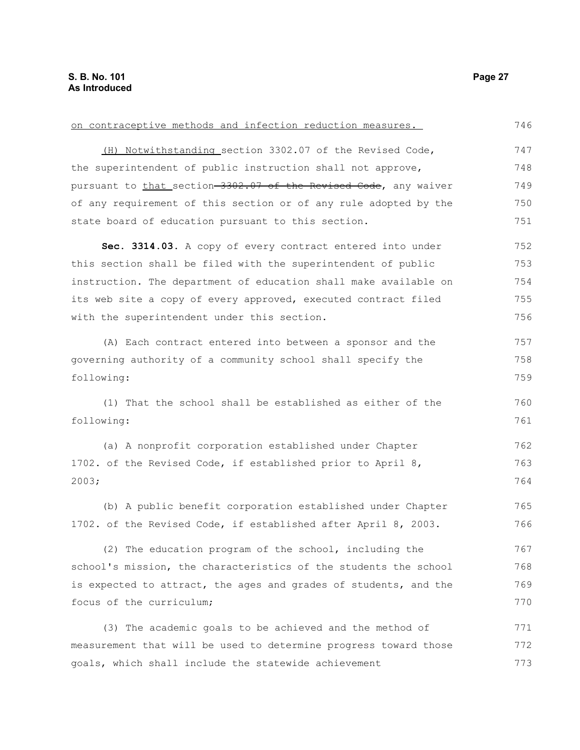| on contraceptive methods and infection reduction measures.       | 746 |
|------------------------------------------------------------------|-----|
| (H) Notwithstanding section 3302.07 of the Revised Code,         | 747 |
| the superintendent of public instruction shall not approve,      | 748 |
| pursuant to that section-3302.07 of the Revised Code, any waiver | 749 |
| of any requirement of this section or of any rule adopted by the | 750 |
| state board of education pursuant to this section.               | 751 |
| Sec. 3314.03. A copy of every contract entered into under        | 752 |
| this section shall be filed with the superintendent of public    | 753 |
| instruction. The department of education shall make available on | 754 |
| its web site a copy of every approved, executed contract filed   | 755 |
| with the superintendent under this section.                      | 756 |
| (A) Each contract entered into between a sponsor and the         | 757 |
| governing authority of a community school shall specify the      | 758 |
| following:                                                       | 759 |
| (1) That the school shall be established as either of the        | 760 |
| following:                                                       | 761 |
| (a) A nonprofit corporation established under Chapter            | 762 |
| 1702. of the Revised Code, if established prior to April 8,      | 763 |
| 2003;                                                            | 764 |
| (b) A public benefit corporation established under Chapter       | 765 |
| 1702. of the Revised Code, if established after April 8, 2003.   | 766 |
| (2) The education program of the school, including the           | 767 |
| school's mission, the characteristics of the students the school | 768 |
| is expected to attract, the ages and grades of students, and the | 769 |
| focus of the curriculum;                                         | 770 |
| (3) The academic goals to be achieved and the method of          | 771 |
| measurement that will be used to determine progress toward those | 772 |
| goals, which shall include the statewide achievement             | 773 |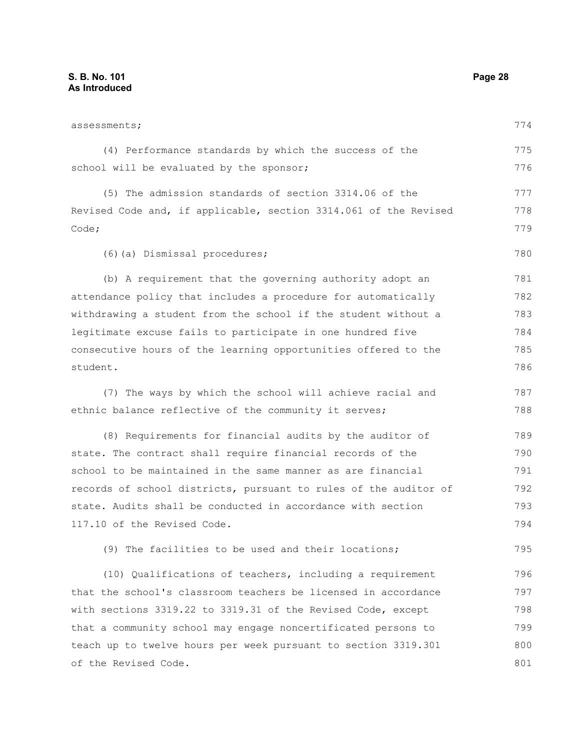| assessments;                                                     | 774 |
|------------------------------------------------------------------|-----|
| (4) Performance standards by which the success of the            | 775 |
| school will be evaluated by the sponsor;                         | 776 |
| (5) The admission standards of section 3314.06 of the            | 777 |
| Revised Code and, if applicable, section 3314.061 of the Revised | 778 |
| Code;                                                            | 779 |
| (6) (a) Dismissal procedures;                                    | 780 |
| (b) A requirement that the governing authority adopt an          | 781 |
| attendance policy that includes a procedure for automatically    | 782 |
| withdrawing a student from the school if the student without a   | 783 |
| legitimate excuse fails to participate in one hundred five       | 784 |
| consecutive hours of the learning opportunities offered to the   | 785 |
| student.                                                         | 786 |
| (7) The ways by which the school will achieve racial and         | 787 |
| ethnic balance reflective of the community it serves;            | 788 |
| (8) Requirements for financial audits by the auditor of          | 789 |
| state. The contract shall require financial records of the       | 790 |
| school to be maintained in the same manner as are financial      | 791 |
| records of school districts, pursuant to rules of the auditor of | 792 |
| state. Audits shall be conducted in accordance with section      | 793 |
| 117.10 of the Revised Code.                                      | 794 |
| (9) The facilities to be used and their locations;               | 795 |
| (10) Qualifications of teachers, including a requirement         | 796 |
| that the school's classroom teachers be licensed in accordance   | 797 |
| with sections 3319.22 to 3319.31 of the Revised Code, except     | 798 |
| that a community school may engage noncertificated persons to    | 799 |
| teach up to twelve hours per week pursuant to section 3319.301   | 800 |
| of the Revised Code.                                             | 801 |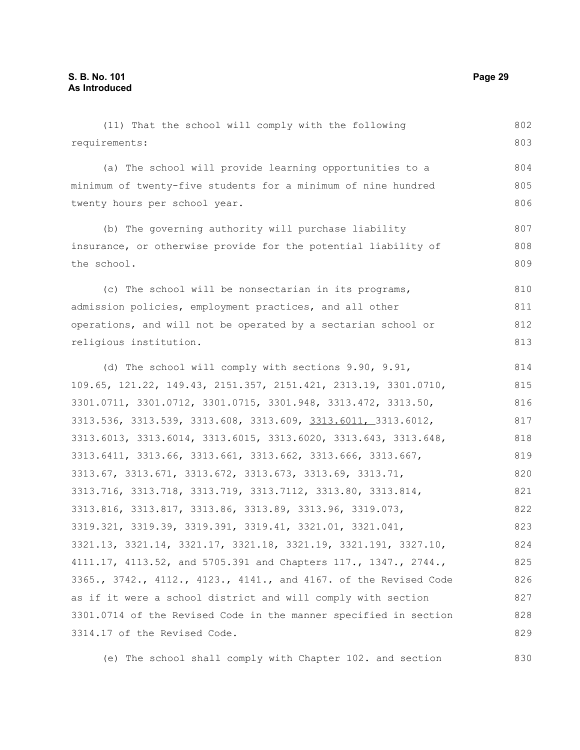(11) That the school will comply with the following requirements: (a) The school will provide learning opportunities to a minimum of twenty-five students for a minimum of nine hundred twenty hours per school year. (b) The governing authority will purchase liability insurance, or otherwise provide for the potential liability of the school. (c) The school will be nonsectarian in its programs, admission policies, employment practices, and all other operations, and will not be operated by a sectarian school or religious institution. (d) The school will comply with sections 9.90, 9.91, 109.65, 121.22, 149.43, 2151.357, 2151.421, 2313.19, 3301.0710, 3301.0711, 3301.0712, 3301.0715, 3301.948, 3313.472, 3313.50, 3313.536, 3313.539, 3313.608, 3313.609, 3313.6011, 3313.6012, 3313.6013, 3313.6014, 3313.6015, 3313.6020, 3313.643, 3313.648, 3313.6411, 3313.66, 3313.661, 3313.662, 3313.666, 3313.667, 3313.67, 3313.671, 3313.672, 3313.673, 3313.69, 3313.71, 3313.716, 3313.718, 3313.719, 3313.7112, 3313.80, 3313.814, 3313.816, 3313.817, 3313.86, 3313.89, 3313.96, 3319.073, 3319.321, 3319.39, 3319.391, 3319.41, 3321.01, 3321.041, 3321.13, 3321.14, 3321.17, 3321.18, 3321.19, 3321.191, 3327.10, 4111.17, 4113.52, and 5705.391 and Chapters 117., 1347., 2744., 3365., 3742., 4112., 4123., 4141., and 4167. of the Revised Code as if it were a school district and will comply with section 3301.0714 of the Revised Code in the manner specified in section 802 803 804 805 806 807 808 809 810 811 812 813 814 815 816 817 818 819 820 821 822 823 824 825 826 827 828

(e) The school shall comply with Chapter 102. and section

3314.17 of the Revised Code.

829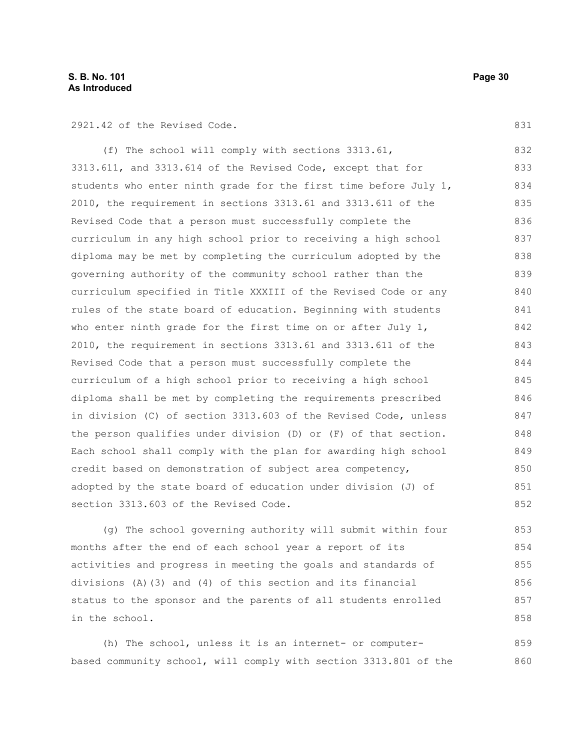2921.42 of the Revised Code.

831

(f) The school will comply with sections 3313.61, 3313.611, and 3313.614 of the Revised Code, except that for students who enter ninth grade for the first time before July 1, 2010, the requirement in sections 3313.61 and 3313.611 of the Revised Code that a person must successfully complete the curriculum in any high school prior to receiving a high school diploma may be met by completing the curriculum adopted by the governing authority of the community school rather than the curriculum specified in Title XXXIII of the Revised Code or any rules of the state board of education. Beginning with students who enter ninth grade for the first time on or after July 1, 2010, the requirement in sections 3313.61 and 3313.611 of the Revised Code that a person must successfully complete the curriculum of a high school prior to receiving a high school diploma shall be met by completing the requirements prescribed in division (C) of section 3313.603 of the Revised Code, unless the person qualifies under division (D) or (F) of that section. Each school shall comply with the plan for awarding high school credit based on demonstration of subject area competency, adopted by the state board of education under division (J) of section 3313.603 of the Revised Code. 832 833 834 835 836 837 838 839 840 841 842 843 844 845 846 847 848 849 850 851 852

(g) The school governing authority will submit within four months after the end of each school year a report of its activities and progress in meeting the goals and standards of divisions (A)(3) and (4) of this section and its financial status to the sponsor and the parents of all students enrolled in the school. 853 854 855 856 857 858

(h) The school, unless it is an internet- or computerbased community school, will comply with section 3313.801 of the 859 860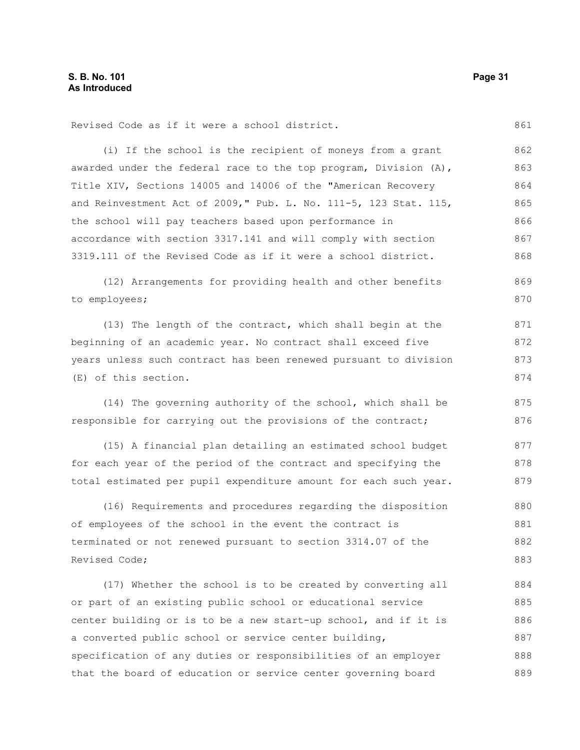861

Revised Code as if it were a school district.

(i) If the school is the recipient of moneys from a grant awarded under the federal race to the top program, Division (A), Title XIV, Sections 14005 and 14006 of the "American Recovery and Reinvestment Act of 2009," Pub. L. No. 111-5, 123 Stat. 115, the school will pay teachers based upon performance in accordance with section 3317.141 and will comply with section 3319.111 of the Revised Code as if it were a school district. 862 863 864 865 866 867 868

(12) Arrangements for providing health and other benefits to employees; 869 870

(13) The length of the contract, which shall begin at the beginning of an academic year. No contract shall exceed five years unless such contract has been renewed pursuant to division (E) of this section. 871 872 873 874

(14) The governing authority of the school, which shall be responsible for carrying out the provisions of the contract; 875 876

(15) A financial plan detailing an estimated school budget for each year of the period of the contract and specifying the total estimated per pupil expenditure amount for each such year. 877 878 879

(16) Requirements and procedures regarding the disposition of employees of the school in the event the contract is terminated or not renewed pursuant to section 3314.07 of the Revised Code; 880 881 882 883

(17) Whether the school is to be created by converting all or part of an existing public school or educational service center building or is to be a new start-up school, and if it is a converted public school or service center building, specification of any duties or responsibilities of an employer that the board of education or service center governing board 884 885 886 887 888 889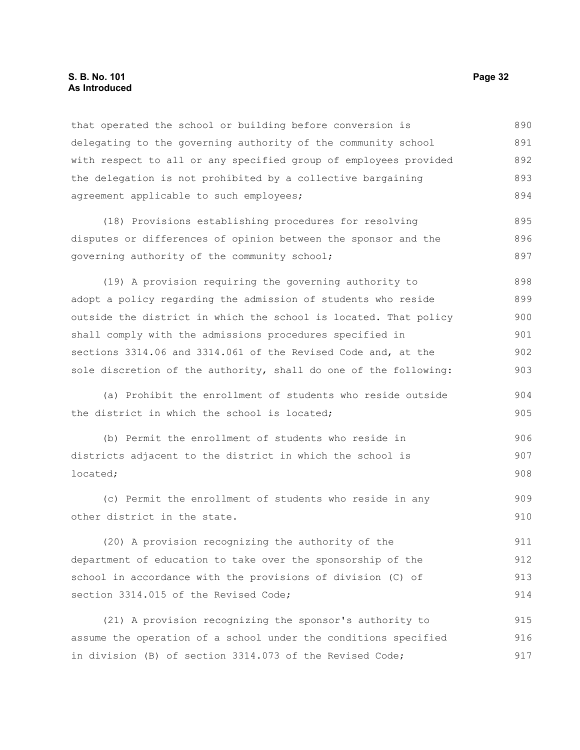### **S. B. No. 101 Page 32 As Introduced**

that operated the school or building before conversion is delegating to the governing authority of the community school with respect to all or any specified group of employees provided the delegation is not prohibited by a collective bargaining agreement applicable to such employees; 890 891 892 893 894

(18) Provisions establishing procedures for resolving disputes or differences of opinion between the sponsor and the governing authority of the community school; 895 896 897

(19) A provision requiring the governing authority to adopt a policy regarding the admission of students who reside outside the district in which the school is located. That policy shall comply with the admissions procedures specified in sections 3314.06 and 3314.061 of the Revised Code and, at the sole discretion of the authority, shall do one of the following: 898 899 900 901 902 903

(a) Prohibit the enrollment of students who reside outside the district in which the school is located;

(b) Permit the enrollment of students who reside in districts adjacent to the district in which the school is located; 906 907 908

(c) Permit the enrollment of students who reside in any other district in the state. 909 910

(20) A provision recognizing the authority of the department of education to take over the sponsorship of the school in accordance with the provisions of division (C) of section 3314.015 of the Revised Code; 911 912 913 914

(21) A provision recognizing the sponsor's authority to assume the operation of a school under the conditions specified in division (B) of section 3314.073 of the Revised Code; 915 916 917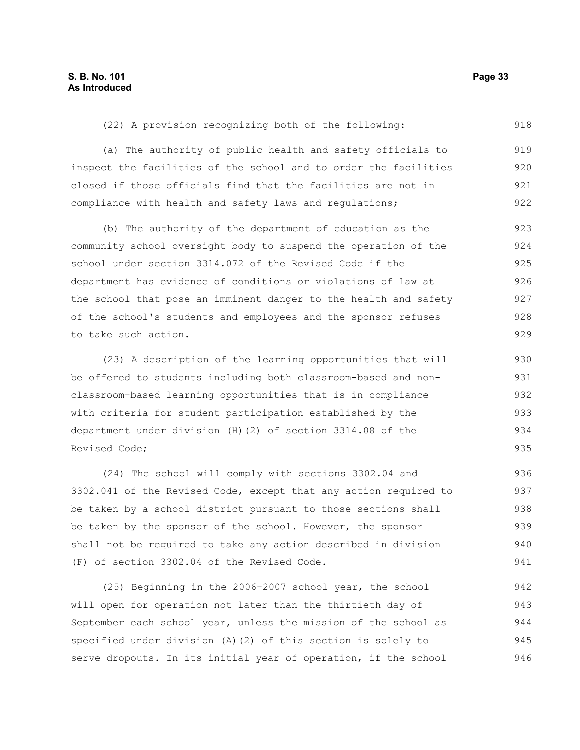918

(22) A provision recognizing both of the following:

(a) The authority of public health and safety officials to inspect the facilities of the school and to order the facilities closed if those officials find that the facilities are not in compliance with health and safety laws and regulations; 919 920 921 922

(b) The authority of the department of education as the community school oversight body to suspend the operation of the school under section 3314.072 of the Revised Code if the department has evidence of conditions or violations of law at the school that pose an imminent danger to the health and safety of the school's students and employees and the sponsor refuses to take such action. 923 924 925 926 927 928 929

(23) A description of the learning opportunities that will be offered to students including both classroom-based and nonclassroom-based learning opportunities that is in compliance with criteria for student participation established by the department under division (H)(2) of section 3314.08 of the Revised Code; 930 931 932 933 934 935

(24) The school will comply with sections 3302.04 and 3302.041 of the Revised Code, except that any action required to be taken by a school district pursuant to those sections shall be taken by the sponsor of the school. However, the sponsor shall not be required to take any action described in division (F) of section 3302.04 of the Revised Code. 936 937 938 939 940 941

(25) Beginning in the 2006-2007 school year, the school will open for operation not later than the thirtieth day of September each school year, unless the mission of the school as specified under division (A)(2) of this section is solely to serve dropouts. In its initial year of operation, if the school 942 943 944 945 946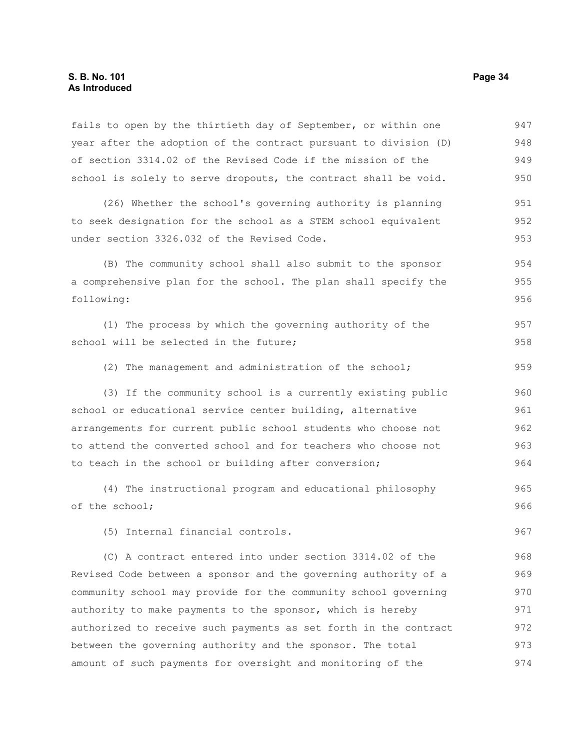fails to open by the thirtieth day of September, or within one year after the adoption of the contract pursuant to division (D) of section 3314.02 of the Revised Code if the mission of the school is solely to serve dropouts, the contract shall be void. (26) Whether the school's governing authority is planning to seek designation for the school as a STEM school equivalent under section 3326.032 of the Revised Code. (B) The community school shall also submit to the sponsor a comprehensive plan for the school. The plan shall specify the following: (1) The process by which the governing authority of the school will be selected in the future; (2) The management and administration of the school; (3) If the community school is a currently existing public school or educational service center building, alternative arrangements for current public school students who choose not to attend the converted school and for teachers who choose not to teach in the school or building after conversion; (4) The instructional program and educational philosophy of the school; (5) Internal financial controls. (C) A contract entered into under section 3314.02 of the Revised Code between a sponsor and the governing authority of a community school may provide for the community school governing authority to make payments to the sponsor, which is hereby 947 948 949 950 951 952 953 954 955 956 957 958 959 960 961 962 963 964 965 966 967 968 969 970 971

between the governing authority and the sponsor. The total amount of such payments for oversight and monitoring of the 973 974

authorized to receive such payments as set forth in the contract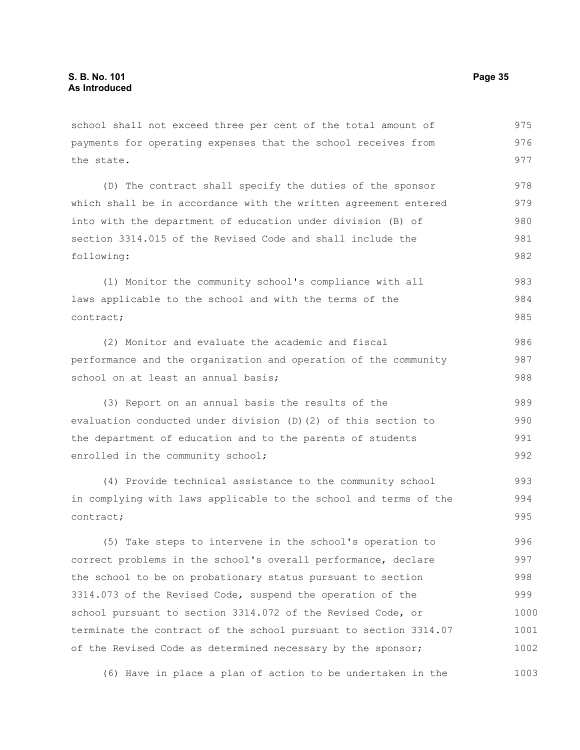school shall not exceed three per cent of the total amount of payments for operating expenses that the school receives from the state. 975 976 977

(D) The contract shall specify the duties of the sponsor which shall be in accordance with the written agreement entered into with the department of education under division (B) of section 3314.015 of the Revised Code and shall include the following: 978 979 980 981 982

(1) Monitor the community school's compliance with all laws applicable to the school and with the terms of the contract; 983 984 985

(2) Monitor and evaluate the academic and fiscal performance and the organization and operation of the community school on at least an annual basis; 986 987 988

(3) Report on an annual basis the results of the evaluation conducted under division (D)(2) of this section to the department of education and to the parents of students enrolled in the community school; 989 990 991 992

(4) Provide technical assistance to the community school in complying with laws applicable to the school and terms of the contract; 993 994 995

(5) Take steps to intervene in the school's operation to correct problems in the school's overall performance, declare the school to be on probationary status pursuant to section 3314.073 of the Revised Code, suspend the operation of the school pursuant to section 3314.072 of the Revised Code, or terminate the contract of the school pursuant to section 3314.07 of the Revised Code as determined necessary by the sponsor; 996 997 998 999 1000 1001 1002

(6) Have in place a plan of action to be undertaken in the 1003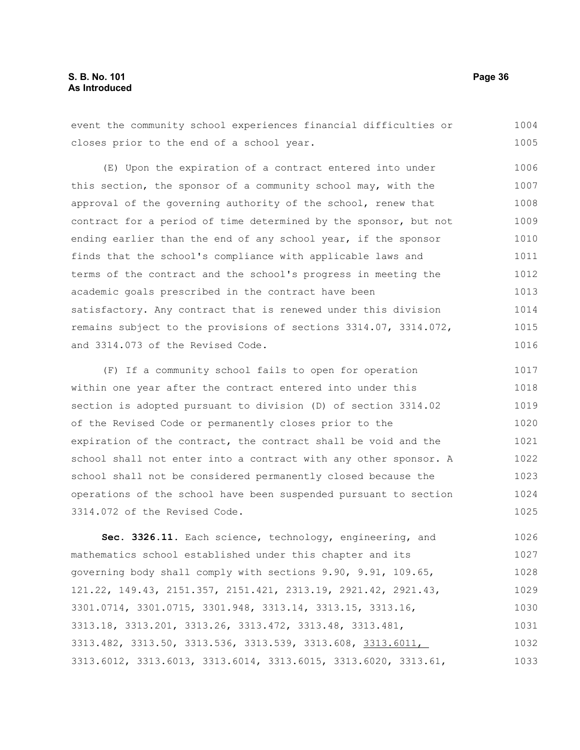### **S. B. No. 101 Page 36 As Introduced**

event the community school experiences financial difficulties or closes prior to the end of a school year. 1004 1005

(E) Upon the expiration of a contract entered into under this section, the sponsor of a community school may, with the approval of the governing authority of the school, renew that contract for a period of time determined by the sponsor, but not ending earlier than the end of any school year, if the sponsor finds that the school's compliance with applicable laws and terms of the contract and the school's progress in meeting the academic goals prescribed in the contract have been satisfactory. Any contract that is renewed under this division remains subject to the provisions of sections 3314.07, 3314.072, and 3314.073 of the Revised Code. 1006 1007 1008 1009 1010 1011 1012 1013 1014 1015 1016

(F) If a community school fails to open for operation within one year after the contract entered into under this section is adopted pursuant to division (D) of section 3314.02 of the Revised Code or permanently closes prior to the expiration of the contract, the contract shall be void and the school shall not enter into a contract with any other sponsor. A school shall not be considered permanently closed because the operations of the school have been suspended pursuant to section 3314.072 of the Revised Code. 1017 1018 1019 1020 1021 1022 1023 1024 1025

**Sec. 3326.11.** Each science, technology, engineering, and mathematics school established under this chapter and its governing body shall comply with sections 9.90, 9.91, 109.65, 121.22, 149.43, 2151.357, 2151.421, 2313.19, 2921.42, 2921.43, 3301.0714, 3301.0715, 3301.948, 3313.14, 3313.15, 3313.16, 3313.18, 3313.201, 3313.26, 3313.472, 3313.48, 3313.481, 3313.482, 3313.50, 3313.536, 3313.539, 3313.608, 3313.6011, 3313.6012, 3313.6013, 3313.6014, 3313.6015, 3313.6020, 3313.61, 1026 1027 1028 1029 1030 1031 1032 1033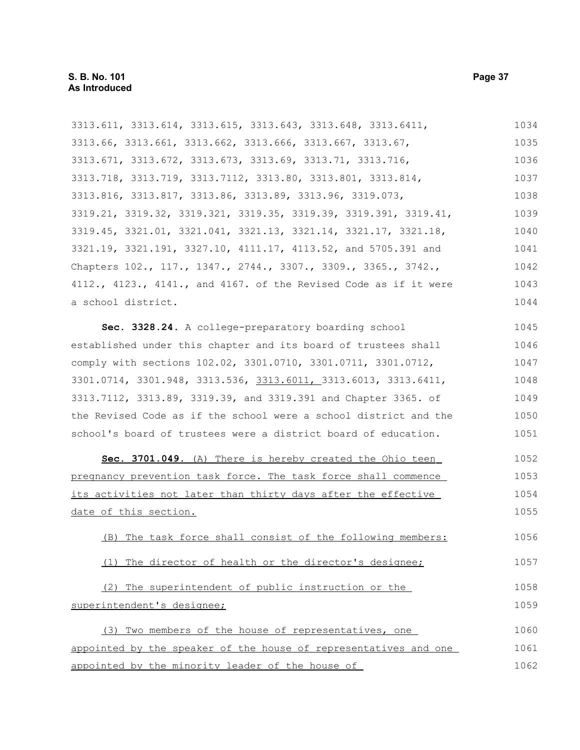3313.611, 3313.614, 3313.615, 3313.643, 3313.648, 3313.6411, 3313.66, 3313.661, 3313.662, 3313.666, 3313.667, 3313.67, 3313.671, 3313.672, 3313.673, 3313.69, 3313.71, 3313.716, 3313.718, 3313.719, 3313.7112, 3313.80, 3313.801, 3313.814, 3313.816, 3313.817, 3313.86, 3313.89, 3313.96, 3319.073, 3319.21, 3319.32, 3319.321, 3319.35, 3319.39, 3319.391, 3319.41, 3319.45, 3321.01, 3321.041, 3321.13, 3321.14, 3321.17, 3321.18, 3321.19, 3321.191, 3327.10, 4111.17, 4113.52, and 5705.391 and Chapters 102., 117., 1347., 2744., 3307., 3309., 3365., 3742., 4112., 4123., 4141., and 4167. of the Revised Code as if it were a school district. **Sec. 3328.24.** A college-preparatory boarding school established under this chapter and its board of trustees shall comply with sections 102.02, 3301.0710, 3301.0711, 3301.0712, 3301.0714, 3301.948, 3313.536, 3313.6011, 3313.6013, 3313.6411, 3313.7112, 3313.89, 3319.39, and 3319.391 and Chapter 3365. of the Revised Code as if the school were a school district and the school's board of trustees were a district board of education. **Sec. 3701.049.** (A) There is hereby created the Ohio teen pregnancy prevention task force. The task force shall commence its activities not later than thirty days after the effective date of this section. (B) The task force shall consist of the following members: (1) The director of health or the director's designee; (2) The superintendent of public instruction or the superintendent's designee; (3) Two members of the house of representatives, one appointed by the speaker of the house of representatives and one 1034 1035 1036 1037 1038 1039 1040 1041 1042 1043 1044 1045 1046 1047 1048 1049 1050 1051 1052 1053 1054 1055 1056 1057 1058 1059 1060 1061

appointed by the minority leader of the house of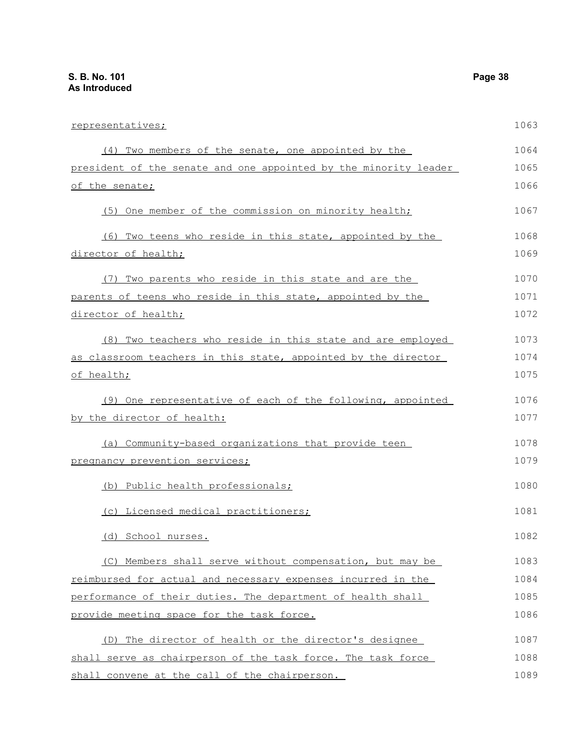| representatives;                                                    | 1063 |
|---------------------------------------------------------------------|------|
| (4) Two members of the senate, one appointed by the                 | 1064 |
| president of the senate and one appointed by the minority leader    | 1065 |
| of the senate;                                                      | 1066 |
| (5) One member of the commission on minority health;                | 1067 |
| (6) Two teens who reside in this state, appointed by the            | 1068 |
| director of health;                                                 | 1069 |
| (7) Two parents who reside in this state and are the                | 1070 |
| parents of teens who reside in this state, appointed by the         | 1071 |
| director of health;                                                 | 1072 |
| (8) Two teachers who reside in this state and are employed          | 1073 |
| as classroom teachers in this state, appointed by the director      | 1074 |
| of health;                                                          | 1075 |
| (9) One representative of each of the following, appointed          | 1076 |
| by the director of health:                                          | 1077 |
| (a) Community-based organizations that provide teen                 | 1078 |
| pregnancy prevention services;                                      | 1079 |
| (b) Public health professionals;                                    | 1080 |
| (c) Licensed medical practitioners;                                 | 1081 |
| (d) School nurses.                                                  | 1082 |
| (C) Members shall serve without compensation, but may be            | 1083 |
| <u>reimbursed for actual and necessary expenses incurred in the</u> | 1084 |
| performance of their duties. The department of health shall         | 1085 |
| provide meeting space for the task force.                           | 1086 |
| (D) The director of health or the director's designee               | 1087 |
| shall serve as chairperson of the task force. The task force        | 1088 |

shall convene at the call of the chairperson.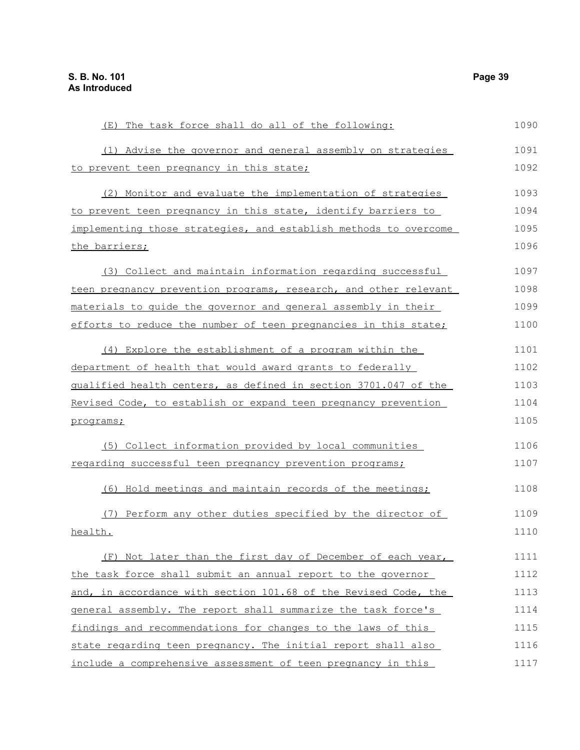| (E) The task force shall do all of the following:                | 1090 |
|------------------------------------------------------------------|------|
| (1) Advise the governor and general assembly on strategies       | 1091 |
| to prevent teen pregnancy in this state;                         | 1092 |
| (2) Monitor and evaluate the implementation of strategies        | 1093 |
| to prevent teen pregnancy in this state, identify barriers to    | 1094 |
| implementing those strategies, and establish methods to overcome | 1095 |
| the barriers;                                                    | 1096 |
| (3) Collect and maintain information regarding successful        | 1097 |
| teen pregnancy prevention programs, research, and other relevant | 1098 |
| materials to quide the governor and general assembly in their    | 1099 |
| efforts to reduce the number of teen pregnancies in this state;  | 1100 |
| (4) Explore the establishment of a program within the            | 1101 |
| department of health that would award grants to federally        | 1102 |
| qualified health centers, as defined in section 3701.047 of the  | 1103 |
| Revised Code, to establish or expand teen pregnancy prevention   | 1104 |
| programs;                                                        | 1105 |
| (5) Collect information provided by local communities            | 1106 |
| regarding successful teen pregnancy prevention programs;         | 1107 |
| (6) Hold meetings and maintain records of the meetings;          | 1108 |
| (7) Perform any other duties specified by the director of        | 1109 |
| health.                                                          | 1110 |
| (F) Not later than the first day of December of each year,       | 1111 |
| the task force shall submit an annual report to the governor     | 1112 |
| and, in accordance with section 101.68 of the Revised Code, the  | 1113 |
| general assembly. The report shall summarize the task force's    | 1114 |
| findings and recommendations for changes to the laws of this     | 1115 |
| state regarding teen pregnancy. The initial report shall also    | 1116 |
| include a comprehensive assessment of teen pregnancy in this     | 1117 |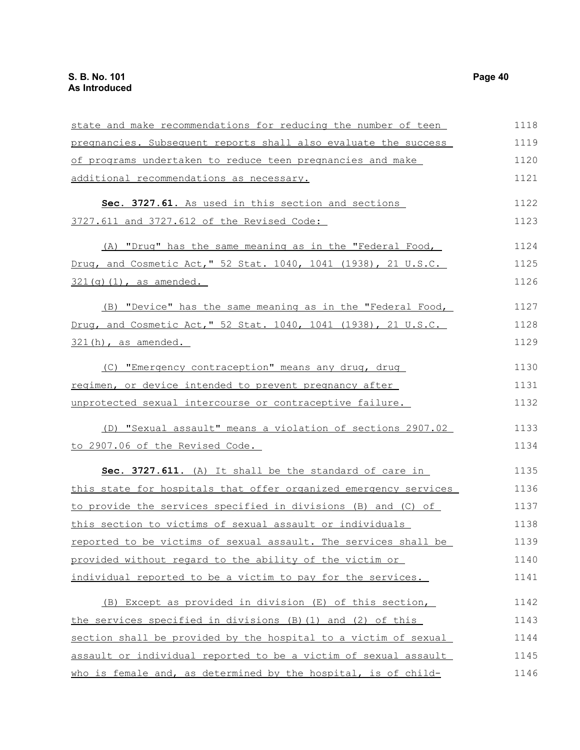| state and make recommendations for reducing the number of teen   | 1118 |
|------------------------------------------------------------------|------|
| pregnancies. Subsequent reports shall also evaluate the success  | 1119 |
| of programs undertaken to reduce teen pregnancies and make       | 1120 |
| additional recommendations as necessary.                         | 1121 |
| Sec. 3727.61. As used in this section and sections               | 1122 |
| 3727.611 and 3727.612 of the Revised Code:                       | 1123 |
| (A) "Drug" has the same meaning as in the "Federal Food,         | 1124 |
| Drug, and Cosmetic Act," 52 Stat. 1040, 1041 (1938), 21 U.S.C.   | 1125 |
| $321(g)(1)$ , as amended.                                        | 1126 |
| (B) "Device" has the same meaning as in the "Federal Food,       | 1127 |
| Drug, and Cosmetic Act," 52 Stat. 1040, 1041 (1938), 21 U.S.C.   | 1128 |
| 321(h), as amended.                                              | 1129 |
| (C) "Emergency contraception" means any drug, drug               | 1130 |
| regimen, or device intended to prevent pregnancy after           | 1131 |
| unprotected sexual intercourse or contraceptive failure.         | 1132 |
| (D) "Sexual assault" means a violation of sections 2907.02       | 1133 |
| to 2907.06 of the Revised Code.                                  | 1134 |
| Sec. 3727.611. (A) It shall be the standard of care in           | 1135 |
| this state for hospitals that offer organized emergency services | 1136 |
| to provide the services specified in divisions (B) and (C) of    | 1137 |
| this section to victims of sexual assault or individuals         | 1138 |
| reported to be victims of sexual assault. The services shall be  | 1139 |
| provided without regard to the ability of the victim or          | 1140 |
| individual reported to be a victim to pay for the services.      | 1141 |
| (B) Except as provided in division (E) of this section,          | 1142 |
| the services specified in divisions $(B)$ (1) and (2) of this    | 1143 |
| section shall be provided by the hospital to a victim of sexual  | 1144 |
| assault or individual reported to be a victim of sexual assault  | 1145 |
| who is female and, as determined by the hospital, is of child-   | 1146 |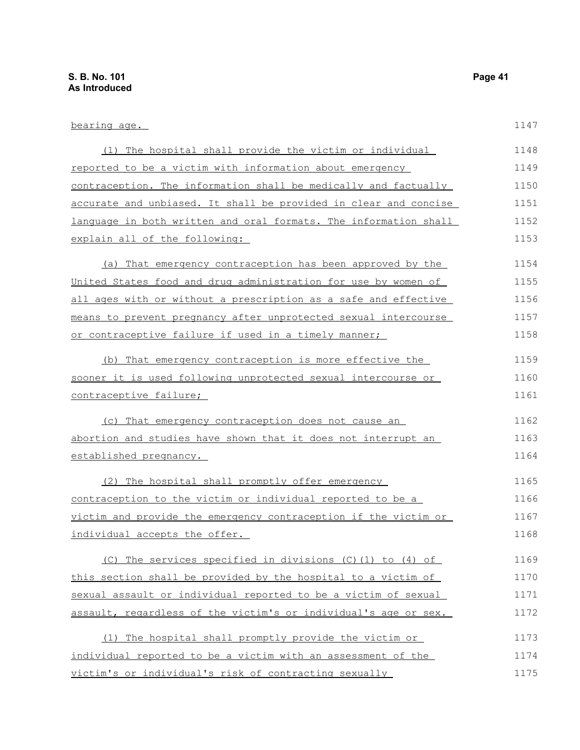| bearing age.                                                     | 1147 |
|------------------------------------------------------------------|------|
| (1) The hospital shall provide the victim or individual          | 1148 |
| reported to be a victim with information about emergency         | 1149 |
| contraception. The information shall be medically and factually  | 1150 |
| accurate and unbiased. It shall be provided in clear and concise | 1151 |
| language in both written and oral formats. The information shall | 1152 |
| explain all of the following:                                    | 1153 |
| (a) That emergency contraception has been approved by the        | 1154 |
| United States food and drug administration for use by women of   | 1155 |
| all ages with or without a prescription as a safe and effective  | 1156 |
| means to prevent pregnancy after unprotected sexual intercourse  | 1157 |
| or contraceptive failure if used in a timely manner;             | 1158 |
| (b) That emergency contraception is more effective the           | 1159 |
| sooner it is used following unprotected sexual intercourse or    | 1160 |
| contraceptive failure;                                           | 1161 |
| (c) That emergency contraception does not cause an               | 1162 |
| abortion and studies have shown that it does not interrupt an    | 1163 |
| <u>established pregnancy.</u>                                    | 1164 |
| (2) The hospital shall promptly offer emergency                  | 1165 |
| contraception to the victim or individual reported to be a       | 1166 |
| victim and provide the emergency contraception if the victim or  | 1167 |
| individual accepts the offer.                                    | 1168 |
| (C) The services specified in divisions (C) (1) to (4) of        | 1169 |
| this section shall be provided by the hospital to a victim of    | 1170 |
| sexual assault or individual reported to be a victim of sexual   | 1171 |
| assault, regardless of the victim's or individual's age or sex.  | 1172 |
| (1) The hospital shall promptly provide the victim or            | 1173 |
| individual reported to be a victim with an assessment of the     | 1174 |
| victim's or individual's risk of contracting sexually            | 1175 |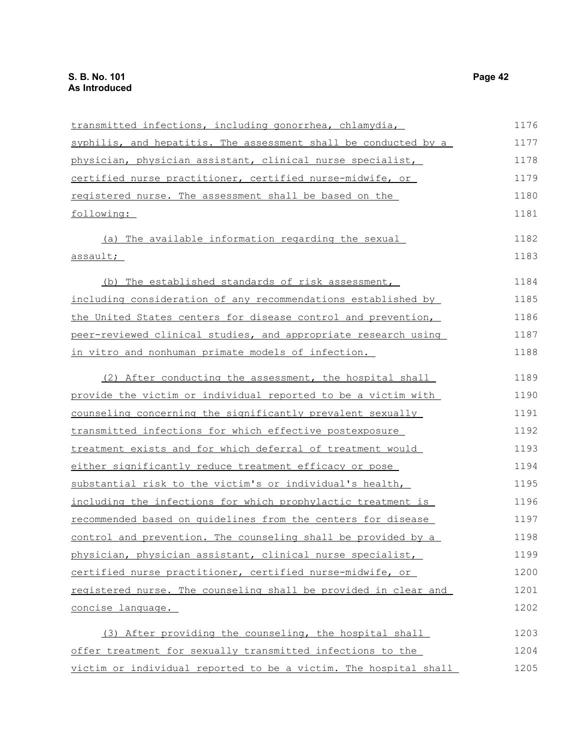| transmitted infections, including gonorrhea, chlamydia,          | 1176 |
|------------------------------------------------------------------|------|
| syphilis, and hepatitis. The assessment shall be conducted by a  | 1177 |
| physician, physician assistant, clinical nurse specialist,       | 1178 |
| certified nurse practitioner, certified nurse-midwife, or        | 1179 |
| registered nurse. The assessment shall be based on the           | 1180 |
| following:                                                       | 1181 |
| (a) The available information regarding the sexual               | 1182 |
| assault;                                                         | 1183 |
| (b) The established standards of risk assessment,                | 1184 |
| including consideration of any recommendations established by    | 1185 |
| the United States centers for disease control and prevention,    | 1186 |
| peer-reviewed clinical studies, and appropriate research using   | 1187 |
| in vitro and nonhuman primate models of infection.               | 1188 |
| (2) After conducting the assessment, the hospital shall          | 1189 |
| provide the victim or individual reported to be a victim with    | 1190 |
| counseling concerning the significantly prevalent sexually       | 1191 |
| transmitted infections for which effective postexposure          | 1192 |
| treatment exists and for which deferral of treatment would       | 1193 |
| either significantly reduce treatment efficacy or pose           | 1194 |
| substantial risk to the victim's or individual's health,         | 1195 |
| including the infections for which prophylactic treatment is     | 1196 |
| recommended based on quidelines from the centers for disease     | 1197 |
| control and prevention. The counseling shall be provided by a    | 1198 |
| physician, physician assistant, clinical nurse specialist,       | 1199 |
| certified nurse practitioner, certified nurse-midwife, or        | 1200 |
| registered nurse. The counseling shall be provided in clear and  | 1201 |
| concise language.                                                | 1202 |
| (3) After providing the counseling, the hospital shall           | 1203 |
| offer treatment for sexually transmitted infections to the       | 1204 |
| victim or individual reported to be a victim. The hospital shall | 1205 |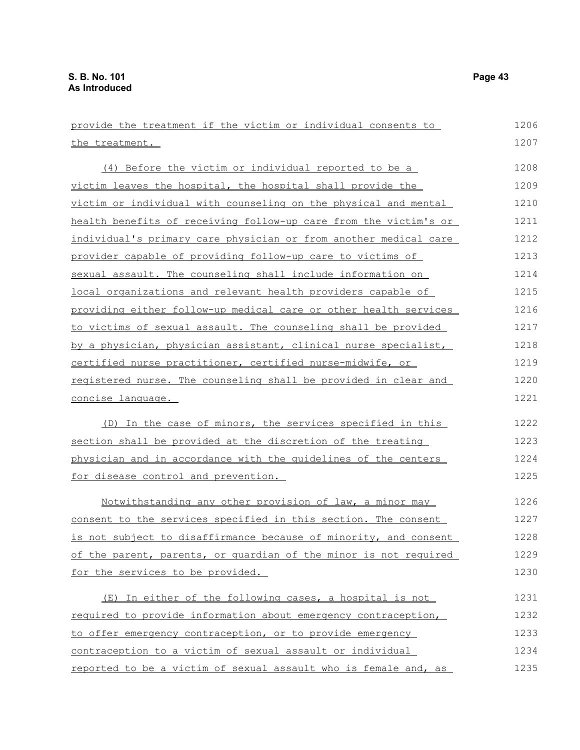| provide the treatment if the victim or individual consents to    | 1206 |
|------------------------------------------------------------------|------|
| the treatment.                                                   | 1207 |
| (4) Before the victim or individual reported to be a             | 1208 |
| victim leaves the hospital, the hospital shall provide the       | 1209 |
| victim or individual with counseling on the physical and mental  | 1210 |
| health benefits of receiving follow-up care from the victim's or | 1211 |
| individual's primary care physician or from another medical care | 1212 |
| provider capable of providing follow-up care to victims of       | 1213 |
| sexual assault. The counseling shall include information on      | 1214 |
| local organizations and relevant health providers capable of     | 1215 |
| providing either follow-up medical care or other health services | 1216 |
| to victims of sexual assault. The counseling shall be provided   | 1217 |
| by a physician, physician assistant, clinical nurse specialist,  | 1218 |
| certified nurse practitioner, certified nurse-midwife, or        | 1219 |
| registered nurse. The counseling shall be provided in clear and  | 1220 |
| <u>concise language.</u>                                         | 1221 |
| (D) In the case of minors, the services specified in this        | 1222 |
| section shall be provided at the discretion of the treating      | 1223 |
| physician and in accordance with the quidelines of the centers   | 1224 |
| for disease control and prevention.                              | 1225 |
| Notwithstanding any other provision of law, a minor may          | 1226 |
| consent to the services specified in this section. The consent   | 1227 |
| is not subject to disaffirmance because of minority, and consent | 1228 |
| of the parent, parents, or quardian of the minor is not required | 1229 |
| for the services to be provided.                                 | 1230 |
| (E) In either of the following cases, a hospital is not          | 1231 |
| required to provide information about emergency contraception,   | 1232 |
| to offer emergency contraception, or to provide emergency        | 1233 |
| contraception to a victim of sexual assault or individual        | 1234 |
| reported to be a victim of sexual assault who is female and, as  | 1235 |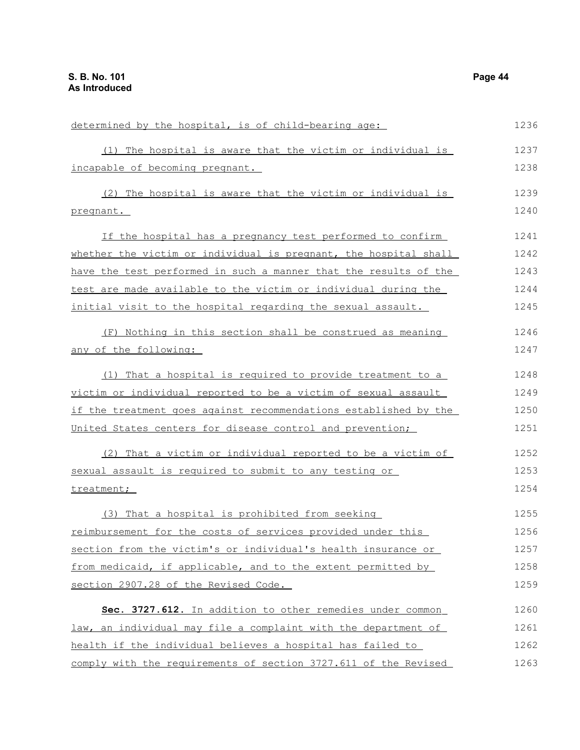| determined by the hospital, is of child-bearing age:             | 1236 |
|------------------------------------------------------------------|------|
| (1) The hospital is aware that the victim or individual is       | 1237 |
| incapable of becoming pregnant.                                  | 1238 |
| (2) The hospital is aware that the victim or individual is       | 1239 |
| pregnant.                                                        | 1240 |
| If the hospital has a pregnancy test performed to confirm        | 1241 |
| whether the victim or individual is pregnant, the hospital shall | 1242 |
| have the test performed in such a manner that the results of the | 1243 |
| test are made available to the victim or individual during the   | 1244 |
| initial visit to the hospital regarding the sexual assault.      | 1245 |
| (F) Nothing in this section shall be construed as meaning        | 1246 |
| any of the following:                                            | 1247 |
| (1) That a hospital is required to provide treatment to a        | 1248 |
| victim or individual reported to be a victim of sexual assault   | 1249 |
| if the treatment goes against recommendations established by the | 1250 |
| United States centers for disease control and prevention;        | 1251 |
| (2) That a victim or individual reported to be a victim of       | 1252 |
| sexual assault is required to submit to any testing or           | 1253 |
| treatment;                                                       | 1254 |
| (3) That a hospital is prohibited from seeking                   | 1255 |
| reimbursement for the costs of services provided under this      | 1256 |
| section from the victim's or individual's health insurance or    | 1257 |
| from medicaid, if applicable, and to the extent permitted by     | 1258 |
| section 2907.28 of the Revised Code.                             | 1259 |
| Sec. 3727.612. In addition to other remedies under common        | 1260 |
| law, an individual may file a complaint with the department of   | 1261 |
| health if the individual believes a hospital has failed to       | 1262 |
| comply with the requirements of section 3727.611 of the Revised  | 1263 |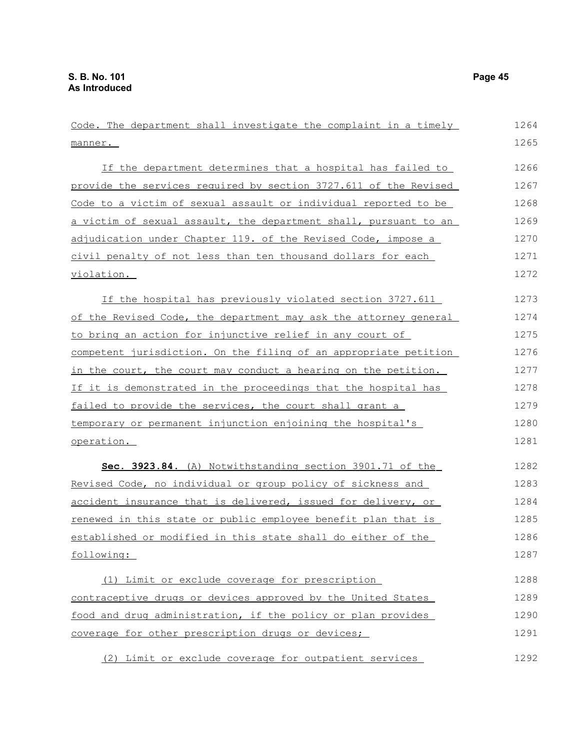Code. The department shall investigate the complaint in a timely  $m$ anne $r$ . If the department determines that a hospital has failed to provide the services required by section 3727.611 of the Revised Code to a victim of sexual assault or individual reported to be a victim of sexual assault, the department shall, pursuant to an adjudication under Chapter 119. of the Revised Code, impose a civil penalty of not less than ten thousand dollars for each violation. If the hospital has previously violated section 3727.611 of the Revised Code, the department may ask the attorney general to bring an action for injunctive relief in any court of competent jurisdiction. On the filing of an appropriate petition in the court, the court may conduct a hearing on the petition. If it is demonstrated in the proceedings that the hospital has failed to provide the services, the court shall grant a temporary or permanent injunction enjoining the hospital's operation. **Sec. 3923.84.** (A) Notwithstanding section 3901.71 of the Revised Code, no individual or group policy of sickness and accident insurance that is delivered, issued for delivery, or renewed in this state or public employee benefit plan that is established or modified in this state shall do either of the following: (1) Limit or exclude coverage for prescription contraceptive drugs or devices approved by the United States food and drug administration, if the policy or plan provides coverage for other prescription drugs or devices; 1264 1265 1266 1267 1268 1269 1270 1271 1272 1273 1274 1275 1276 1277 1278 1279 1280 1281 1282 1283 1284 1285 1286 1287 1288 1289 1290 1291

(2) Limit or exclude coverage for outpatient services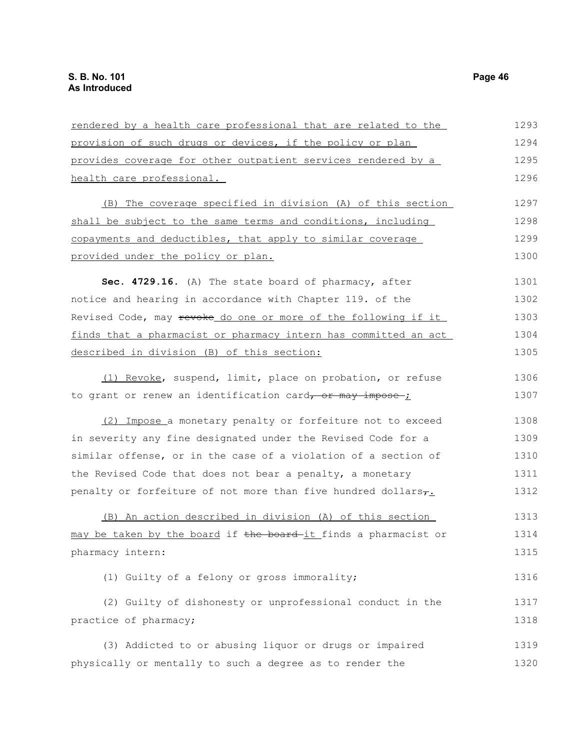| rendered by a health care professional that are related to the  | 1293 |
|-----------------------------------------------------------------|------|
| provision of such drugs or devices, if the policy or plan       | 1294 |
| provides coverage for other outpatient services rendered by a   | 1295 |
| health care professional.                                       | 1296 |
| (B) The coverage specified in division (A) of this section      | 1297 |
| shall be subject to the same terms and conditions, including    | 1298 |
| copayments and deductibles, that apply to similar coverage      | 1299 |
| provided under the policy or plan.                              | 1300 |
| Sec. 4729.16. (A) The state board of pharmacy, after            | 1301 |
| notice and hearing in accordance with Chapter 119. of the       | 1302 |
| Revised Code, may revoke do one or more of the following if it  | 1303 |
| finds that a pharmacist or pharmacy intern has committed an act | 1304 |
| described in division (B) of this section:                      | 1305 |
| (1) Revoke, suspend, limit, place on probation, or refuse       | 1306 |
| to grant or renew an identification card, or may impose-;       | 1307 |
| (2) Impose a monetary penalty or forfeiture not to exceed       | 1308 |
| in severity any fine designated under the Revised Code for a    | 1309 |
| similar offense, or in the case of a violation of a section of  | 1310 |
| the Revised Code that does not bear a penalty, a monetary       | 1311 |
| penalty or forfeiture of not more than five hundred dollars,.   | 1312 |
| (B) An action described in division (A) of this section         | 1313 |
| may be taken by the board if the board it finds a pharmacist or | 1314 |
| pharmacy intern:                                                | 1315 |
| (1) Guilty of a felony or gross immorality;                     | 1316 |
| (2) Guilty of dishonesty or unprofessional conduct in the       | 1317 |
| practice of pharmacy;                                           | 1318 |
| (3) Addicted to or abusing liquor or drugs or impaired          | 1319 |
| physically or mentally to such a degree as to render the        | 1320 |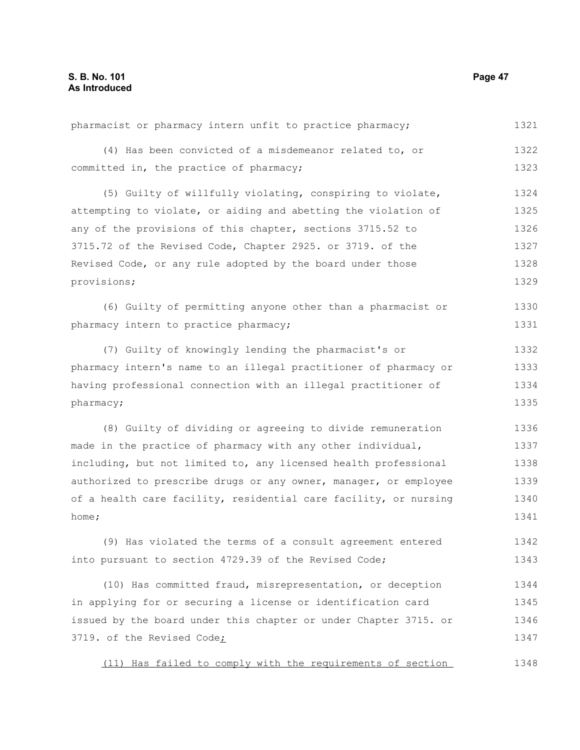(4) Has been convicted of a misdemeanor related to, or committed in, the practice of pharmacy; (5) Guilty of willfully violating, conspiring to violate, attempting to violate, or aiding and abetting the violation of any of the provisions of this chapter, sections 3715.52 to 3715.72 of the Revised Code, Chapter 2925. or 3719. of the Revised Code, or any rule adopted by the board under those provisions; (6) Guilty of permitting anyone other than a pharmacist or pharmacy intern to practice pharmacy; (7) Guilty of knowingly lending the pharmacist's or pharmacy intern's name to an illegal practitioner of pharmacy or having professional connection with an illegal practitioner of pharmacy; (8) Guilty of dividing or agreeing to divide remuneration made in the practice of pharmacy with any other individual, including, but not limited to, any licensed health professional authorized to prescribe drugs or any owner, manager, or employee of a health care facility, residential care facility, or nursing home; (9) Has violated the terms of a consult agreement entered into pursuant to section 4729.39 of the Revised Code; (10) Has committed fraud, misrepresentation, or deception in applying for or securing a license or identification card issued by the board under this chapter or under Chapter 3715. or 3719. of the Revised Code; (11) Has failed to comply with the requirements of section 1322 1323 1324 1325 1326 1327 1328 1329 1330 1331 1332 1333 1334 1335 1336 1337 1338 1339 1340 1341 1342 1343 1344 1345 1346 1347 1348

pharmacist or pharmacy intern unfit to practice pharmacy;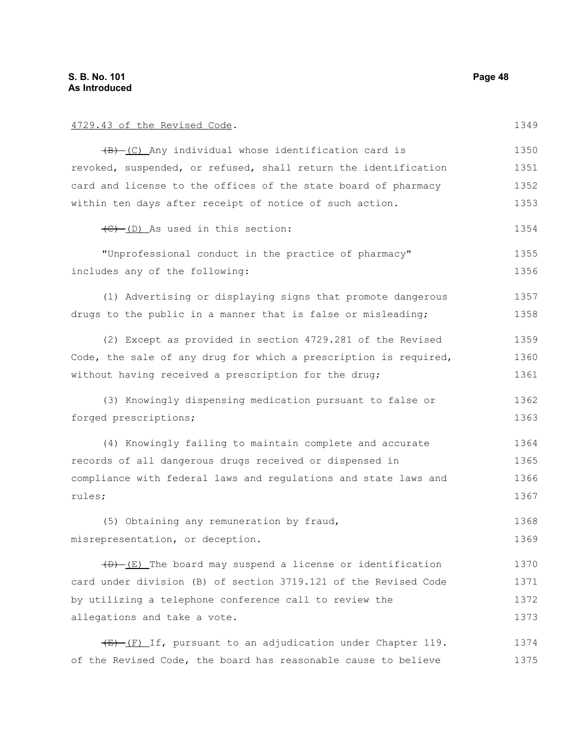4729.43 of the Revised Code. (B) (C) Any individual whose identification card is revoked, suspended, or refused, shall return the identification card and license to the offices of the state board of pharmacy within ten days after receipt of notice of such action.  $\left(\frac{C}{C}\right)$  (D) As used in this section: "Unprofessional conduct in the practice of pharmacy" includes any of the following: (1) Advertising or displaying signs that promote dangerous drugs to the public in a manner that is false or misleading; (2) Except as provided in section 4729.281 of the Revised Code, the sale of any drug for which a prescription is required, without having received a prescription for the drug; (3) Knowingly dispensing medication pursuant to false or forged prescriptions; (4) Knowingly failing to maintain complete and accurate records of all dangerous drugs received or dispensed in compliance with federal laws and regulations and state laws and rules; (5) Obtaining any remuneration by fraud, misrepresentation, or deception.  $(D)$  (E) The board may suspend a license or identification card under division (B) of section 3719.121 of the Revised Code by utilizing a telephone conference call to review the allegations and take a vote. 1349 1350 1351 1352 1353 1354 1355 1356 1357 1358 1359 1360 1361 1362 1363 1364 1365 1366 1367 1368 1369 1370 1371 1372 1373

 $(E)$  (F) If, pursuant to an adjudication under Chapter 119. of the Revised Code, the board has reasonable cause to believe 1374 1375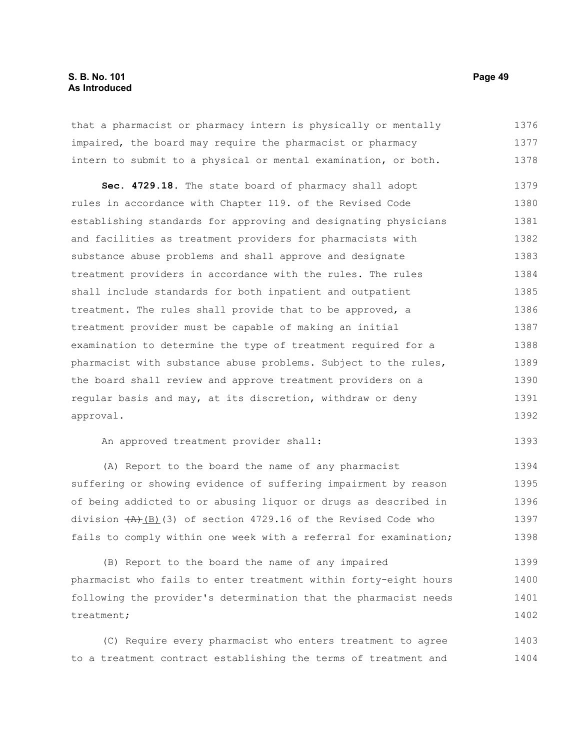that a pharmacist or pharmacy intern is physically or mentally impaired, the board may require the pharmacist or pharmacy intern to submit to a physical or mental examination, or both. 1376 1377 1378

**Sec. 4729.18.** The state board of pharmacy shall adopt rules in accordance with Chapter 119. of the Revised Code establishing standards for approving and designating physicians and facilities as treatment providers for pharmacists with substance abuse problems and shall approve and designate treatment providers in accordance with the rules. The rules shall include standards for both inpatient and outpatient treatment. The rules shall provide that to be approved, a treatment provider must be capable of making an initial examination to determine the type of treatment required for a pharmacist with substance abuse problems. Subject to the rules, the board shall review and approve treatment providers on a regular basis and may, at its discretion, withdraw or deny approval. 1379 1380 1381 1382 1383 1384 1385 1386 1387 1388 1389 1390 1391 1392

An approved treatment provider shall:

(A) Report to the board the name of any pharmacist suffering or showing evidence of suffering impairment by reason of being addicted to or abusing liquor or drugs as described in division  $(A)$ (B)(3) of section 4729.16 of the Revised Code who fails to comply within one week with a referral for examination; 1394 1395 1396 1397 1398

(B) Report to the board the name of any impaired pharmacist who fails to enter treatment within forty-eight hours following the provider's determination that the pharmacist needs treatment; 1399 1400 1401 1402

(C) Require every pharmacist who enters treatment to agree to a treatment contract establishing the terms of treatment and 1403 1404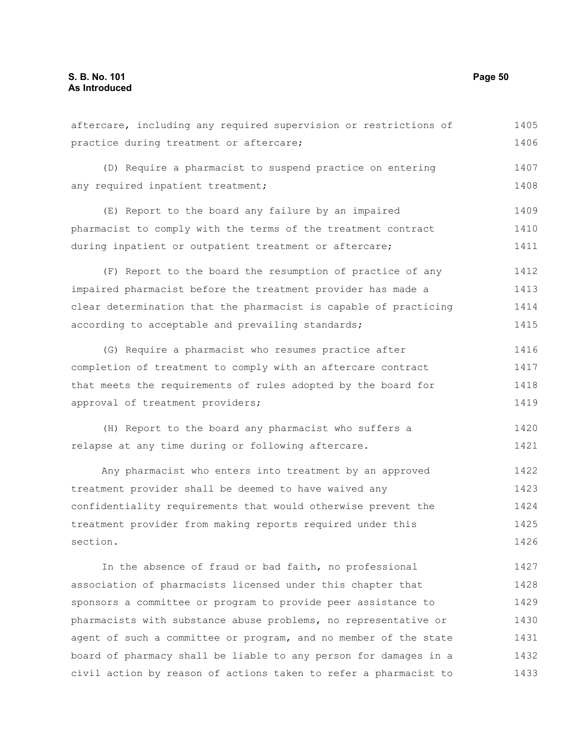aftercare, including any required supervision or restrictions of practice during treatment or aftercare; (D) Require a pharmacist to suspend practice on entering any required inpatient treatment; (E) Report to the board any failure by an impaired pharmacist to comply with the terms of the treatment contract during inpatient or outpatient treatment or aftercare; (F) Report to the board the resumption of practice of any impaired pharmacist before the treatment provider has made a clear determination that the pharmacist is capable of practicing according to acceptable and prevailing standards; (G) Require a pharmacist who resumes practice after completion of treatment to comply with an aftercare contract that meets the requirements of rules adopted by the board for approval of treatment providers; (H) Report to the board any pharmacist who suffers a relapse at any time during or following aftercare. Any pharmacist who enters into treatment by an approved treatment provider shall be deemed to have waived any confidentiality requirements that would otherwise prevent the treatment provider from making reports required under this section. In the absence of fraud or bad faith, no professional 1405 1406 1407 1408 1409 1410 1411 1412 1413 1414 1415 1416 1417 1418 1419 1420 1421 1422 1423 1424 1425 1426 1427

association of pharmacists licensed under this chapter that sponsors a committee or program to provide peer assistance to pharmacists with substance abuse problems, no representative or agent of such a committee or program, and no member of the state board of pharmacy shall be liable to any person for damages in a civil action by reason of actions taken to refer a pharmacist to 1428 1429 1430 1431 1432 1433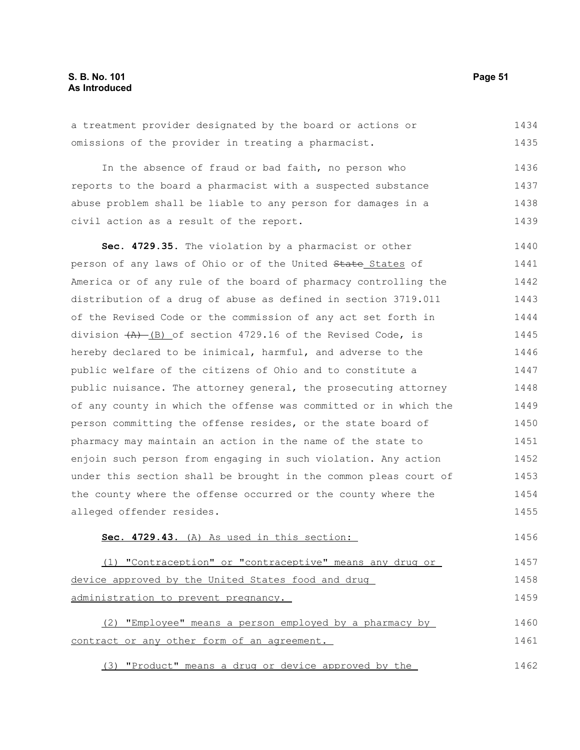a treatment provider designated by the board or actions or omissions of the provider in treating a pharmacist. 1434 1435

In the absence of fraud or bad faith, no person who reports to the board a pharmacist with a suspected substance abuse problem shall be liable to any person for damages in a civil action as a result of the report. 1436 1437 1438 1439

**Sec. 4729.35.** The violation by a pharmacist or other person of any laws of Ohio or of the United State States of America or of any rule of the board of pharmacy controlling the distribution of a drug of abuse as defined in section 3719.011 of the Revised Code or the commission of any act set forth in division  $(A)$  (B) of section 4729.16 of the Revised Code, is hereby declared to be inimical, harmful, and adverse to the public welfare of the citizens of Ohio and to constitute a public nuisance. The attorney general, the prosecuting attorney of any county in which the offense was committed or in which the person committing the offense resides, or the state board of pharmacy may maintain an action in the name of the state to enjoin such person from engaging in such violation. Any action under this section shall be brought in the common pleas court of the county where the offense occurred or the county where the alleged offender resides. 1440 1441 1442 1443 1444 1445 1446 1447 1448 1449 1450 1451 1452 1453 1454 1455

### **Sec. 4729.43.** (A) As used in this section: 1456

(1) "Contraception" or "contraceptive" means any drug or device approved by the United States food and drug administration to prevent pregnancy. 1457 1458 1459

(2) "Employee" means a person employed by a pharmacy by contract or any other form of an agreement. 1460 1461

(3) "Product" means a drug or device approved by the 1462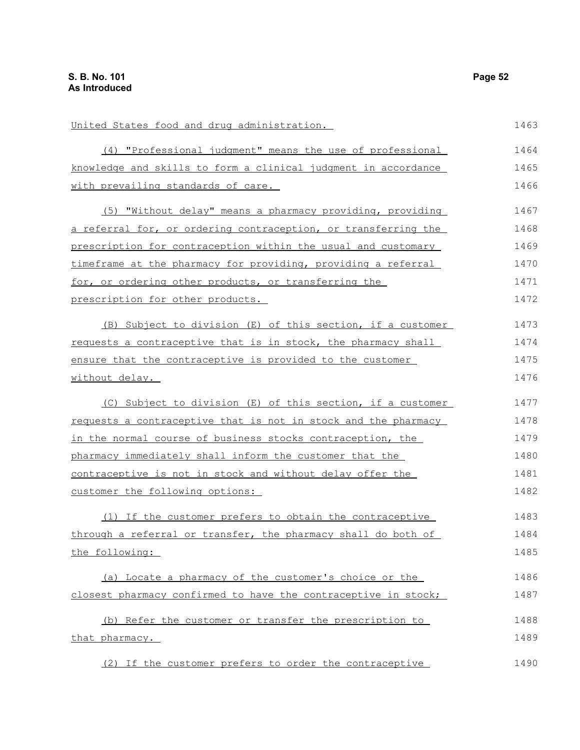United States food and drug administration. (4) "Professional judgment" means the use of professional knowledge and skills to form a clinical judgment in accordance with prevailing standards of care. (5) "Without delay" means a pharmacy providing, providing a referral for, or ordering contraception, or transferring the prescription for contraception within the usual and customary timeframe at the pharmacy for providing, providing a referral for, or ordering other products, or transferring the prescription for other products. (B) Subject to division (E) of this section, if a customer requests a contraceptive that is in stock, the pharmacy shall ensure that the contraceptive is provided to the customer without delay. (C) Subject to division (E) of this section, if a customer requests a contraceptive that is not in stock and the pharmacy in the normal course of business stocks contraception, the pharmacy immediately shall inform the customer that the contraceptive is not in stock and without delay offer the customer the following options: (1) If the customer prefers to obtain the contraceptive through a referral or transfer, the pharmacy shall do both of the following: (a) Locate a pharmacy of the customer's choice or the closest pharmacy confirmed to have the contraceptive in stock; (b) Refer the customer or transfer the prescription to that pharmacy. (2) If the customer prefers to order the contraceptive 1463 1464 1465 1466 1467 1468 1469 1470 1471 1472 1473 1474 1475 1476 1477 1478 1479 1480 1481 1482 1483 1484 1485 1486 1487 1488 1489 1490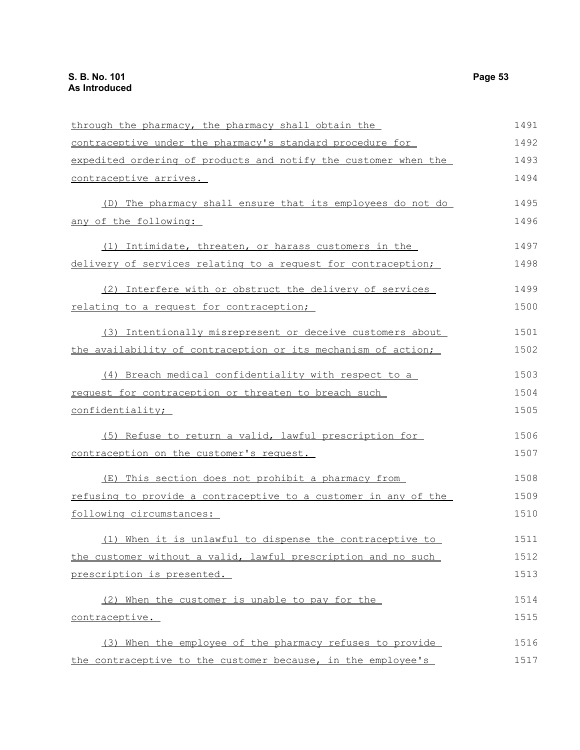| through the pharmacy, the pharmacy shall obtain the             | 1491 |
|-----------------------------------------------------------------|------|
| contraceptive under the pharmacy's standard procedure for       | 1492 |
| expedited ordering of products and notify the customer when the | 1493 |
| contraceptive arrives.                                          | 1494 |
| (D) The pharmacy shall ensure that its employees do not do      | 1495 |
| any of the following:                                           | 1496 |
| (1) Intimidate, threaten, or harass customers in the            | 1497 |
| delivery of services relating to a request for contraception;   | 1498 |
| (2) Interfere with or obstruct the delivery of services         | 1499 |
| relating to a request for contraception;                        | 1500 |
| (3) Intentionally misrepresent or deceive customers about       | 1501 |
| the availability of contraception or its mechanism of action;   | 1502 |
| (4) Breach medical confidentiality with respect to a            | 1503 |
| request for contraception or threaten to breach such            | 1504 |
| confidentiality;                                                | 1505 |
| (5) Refuse to return a valid, lawful prescription for           | 1506 |
| contraception on the customer's request.                        | 1507 |
| (E) This section does not prohibit a pharmacy from              | 1508 |
| refusing to provide a contraceptive to a customer in any of the | 1509 |
| following circumstances:                                        | 1510 |
| (1) When it is unlawful to dispense the contraceptive to        | 1511 |
| the customer without a valid, lawful prescription and no such   | 1512 |
| prescription is presented.                                      | 1513 |
| (2) When the customer is unable to pay for the                  | 1514 |
| contraceptive.                                                  | 1515 |
| (3) When the employee of the pharmacy refuses to provide        | 1516 |
| the contraceptive to the customer because, in the employee's    | 1517 |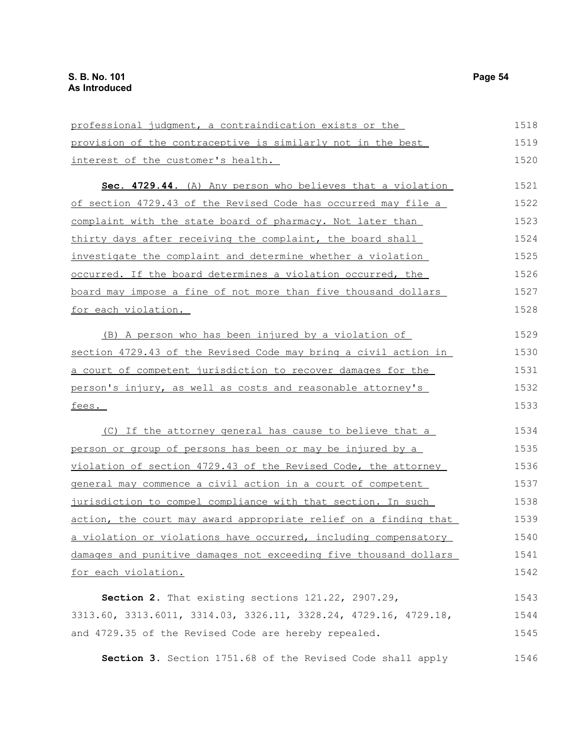provision of the contraceptive is similarly not in the best interest of the customer's health. **Sec. 4729.44.** (A) Any person who believes that a violation of section 4729.43 of the Revised Code has occurred may file a complaint with the state board of pharmacy. Not later than thirty days after receiving the complaint, the board shall investigate the complaint and determine whether a violation occurred. If the board determines a violation occurred, the board may impose a fine of not more than five thousand dollars for each violation. (B) A person who has been injured by a violation of section 4729.43 of the Revised Code may bring a civil action in a court of competent jurisdiction to recover damages for the person's injury, as well as costs and reasonable attorney's fees. (C) If the attorney general has cause to believe that a person or group of persons has been or may be injured by a violation of section 4729.43 of the Revised Code, the attorney general may commence a civil action in a court of competent jurisdiction to compel compliance with that section. In such action, the court may award appropriate relief on a finding that a violation or violations have occurred, including compensatory damages and punitive damages not exceeding five thousand dollars for each violation. **Section 2.** That existing sections 121.22, 2907.29, 3313.60, 3313.6011, 3314.03, 3326.11, 3328.24, 4729.16, 4729.18, and 4729.35 of the Revised Code are hereby repealed. 1519 1520 1521 1522 1523 1524 1525 1526 1527 1528 1529 1530 1531 1532 1533 1534 1535 1536 1537 1538 1539 1540 1541 1542 1543 1544 1545

professional judgment, a contraindication exists or the

**Section 3.** Section 1751.68 of the Revised Code shall apply 1546